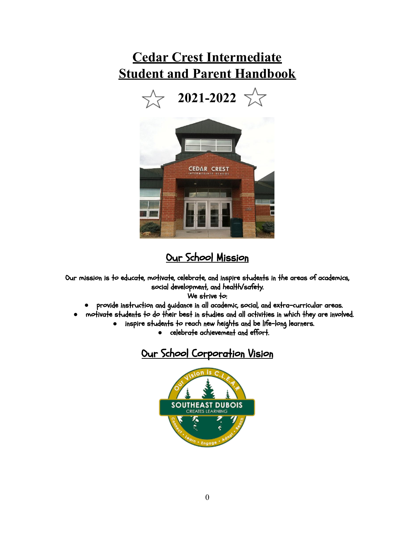# **Cedar Crest Intermediate Student and Parent Handbook**





## Our School Mission

Our mission is to educate, motivate, celebrate, and inspire students in the areas of academics, social development, and health/safety.

We strive to:

- **●** provide instruction and guidance in all academic, social, and extra-curricular areas.
- **●** motivate students to do their best in studies and all activities in which they are involved.
	- **●** inspire students to reach new heights and be life-long learners.
		- **●** celebrate achievement and effort.

# Our School Corporation Vision

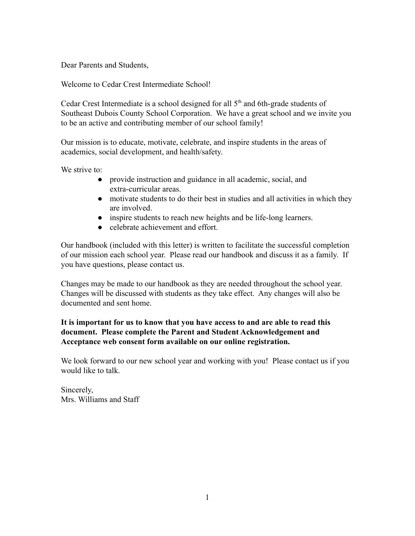Dear Parents and Students,

Welcome to Cedar Crest Intermediate School!

Cedar Crest Intermediate is a school designed for all  $5<sup>th</sup>$  and 6th-grade students of Southeast Dubois County School Corporation. We have a great school and we invite you to be an active and contributing member of our school family!

Our mission is to educate, motivate, celebrate, and inspire students in the areas of academics, social development, and health/safety.

We strive to:

- provide instruction and guidance in all academic, social, and extra-curricular areas.
- motivate students to do their best in studies and all activities in which they are involved.
- inspire students to reach new heights and be life-long learners.
- celebrate achievement and effort.

Our handbook (included with this letter) is written to facilitate the successful completion of our mission each school year. Please read our handbook and discuss it as a family. If you have questions, please contact us.

Changes may be made to our handbook as they are needed throughout the school year. Changes will be discussed with students as they take effect. Any changes will also be documented and sent home.

### **It is important for us to know that you have access to and are able to read this document. Please complete the Parent and Student Acknowledgement and Acceptance web consent form available on our online registration.**

We look forward to our new school year and working with you! Please contact us if you would like to talk.

Sincerely, Mrs. Williams and Staff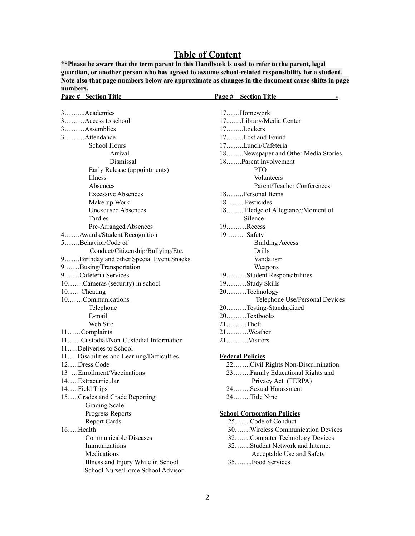### **Table of Content**

**\*\*Please be aware that the term parent in this Handbook is used to refer to the parent, legal guardian, or another person who has agreed to assume school-related responsibility for a student. Note also that page numbers below are approximate as changes in the document cause shifts in page numbers.**

| Page # Section Title                     | Page # Section Title                                    |
|------------------------------------------|---------------------------------------------------------|
|                                          |                                                         |
| 3Academics                               | 17Homework                                              |
| 3Access to school                        | 17Library/Media Center                                  |
| $3$ Assemblies                           | 17. Lockers                                             |
| 3. Attendance                            | 17Lost and Found                                        |
| <b>School Hours</b>                      | 17Lunch/Cafeteria                                       |
| Arrival                                  | 18Newspaper and Other Media Stories                     |
| Dismissal                                | 18Parent Involvement                                    |
| Early Release (appointments)             | <b>PTO</b>                                              |
| Illness                                  | Volunteers                                              |
| Absences                                 | Parent/Teacher Conferences                              |
| <b>Excessive Absences</b>                | 18Personal Items                                        |
| Make-up Work                             | 18  Pesticides                                          |
| <b>Unexcused Absences</b>                | 18Pledge of Allegiance/Moment of                        |
| Tardies                                  | Silence                                                 |
| Pre-Arranged Absences                    | $19$ Recess                                             |
| 4Awards/Student Recognition              | 19  Safety                                              |
| 5Behavior/Code of                        | <b>Building Access</b>                                  |
| Conduct/Citizenship/Bullying/Etc.        | Drills                                                  |
| 9Birthday and other Special Event Snacks | Vandalism                                               |
| 9Busing/Transportation                   | Weapons                                                 |
| 9Cafeteria Services                      | 19. Student Responsibilities                            |
| 10Cameras (security) in school           | 19. Study Skills                                        |
| 10Cheating                               | 20Technology                                            |
| 10Communications                         | Telephone Use/Personal Devices                          |
| Telephone                                | 20Testing-Standardized                                  |
| E-mail                                   | 20. Textbooks                                           |
| Web Site                                 | $21$ Theft                                              |
| 11Complaints                             | 21Weather                                               |
| 11Custodial/Non-Custodial Information    | 21Visitors                                              |
| 11Deliveries to School                   |                                                         |
| 11Disabilities and Learning/Difficulties | <b>Federal Policies</b>                                 |
| 12Dress Code                             | 22Civil Rights Non-Discrimination                       |
| 13  Enrollment/Vaccinations              | 23Family Educational Rights and                         |
| 14Extracurricular                        | Privacy Act (FERPA)                                     |
| 14Field Trips                            | 24Sexual Harassment                                     |
| 15Grades and Grade Reporting             | $24$ Title Nine                                         |
| <b>Grading Scale</b>                     |                                                         |
|                                          |                                                         |
| Progress Reports                         | <b>School Corporation Policies</b><br>25Code of Conduct |
| <b>Report Cards</b><br>16Health          | 30Wireless Communication Devices                        |
|                                          |                                                         |
| Communicable Diseases                    | 32Computer Technology Devices                           |
| Immunizations                            | 32Student Network and Internet                          |
| Medications                              | Acceptable Use and Safety                               |
| Illness and Injury While in School       | 35Food Services                                         |
| School Nurse/Home School Advisor         |                                                         |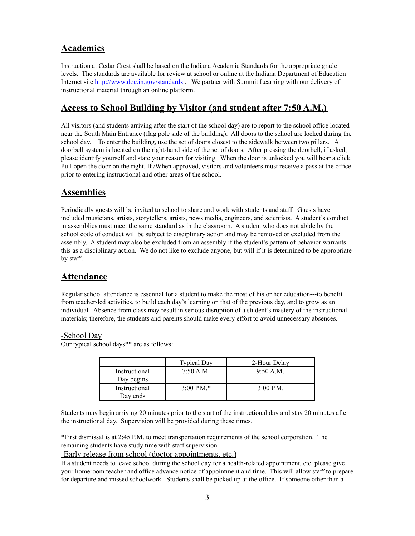### **Academics**

Instruction at Cedar Crest shall be based on the Indiana Academic Standards for the appropriate grade levels. The standards are available for review at school or online at the Indiana Department of Education Internet site <http://www.doe.in.gov/standards> . We partner with Summit Learning with our delivery of instructional material through an online platform.

### **Access to School Building by Visitor (and student after 7:50 A.M.)**

All visitors (and students arriving after the start of the school day) are to report to the school office located near the South Main Entrance (flag pole side of the building). All doors to the school are locked during the school day. To enter the building, use the set of doors closest to the sidewalk between two pillars. A doorbell system is located on the right-hand side of the set of doors. After pressing the doorbell, if asked, please identify yourself and state your reason for visiting. When the door is unlocked you will hear a click. Pull open the door on the right. If /When approved, visitors and volunteers must receive a pass at the office prior to entering instructional and other areas of the school.

### **Assemblies**

Periodically guests will be invited to school to share and work with students and staff. Guests have included musicians, artists, storytellers, artists, news media, engineers, and scientists. A student's conduct in assemblies must meet the same standard as in the classroom. A student who does not abide by the school code of conduct will be subject to disciplinary action and may be removed or excluded from the assembly. A student may also be excluded from an assembly if the student's pattern of behavior warrants this as a disciplinary action. We do not like to exclude anyone, but will if it is determined to be appropriate by staff.

### **Attendance**

Regular school attendance is essential for a student to make the most of his or her education---to benefit from teacher-led activities, to build each day's learning on that of the previous day, and to grow as an individual. Absence from class may result in serious disruption of a student's mastery of the instructional materials; therefore, the students and parents should make every effort to avoid unnecessary absences.

### -School Day

Our typical school days\*\* are as follows:

|               | <b>Typical Day</b> | 2-Hour Delay |
|---------------|--------------------|--------------|
| Instructional | 7:50 A.M.          | 9:50 A.M.    |
| Day begins    |                    |              |
| Instructional | $3:00 P.M.*$       | $3:00$ P.M.  |
| Day ends      |                    |              |

Students may begin arriving 20 minutes prior to the start of the instructional day and stay 20 minutes after the instructional day. Supervision will be provided during these times.

\*First dismissal is at 2:45 P.M. to meet transportation requirements of the school corporation. The remaining students have study time with staff supervision.

-Early release from school (doctor appointments, etc.)

If a student needs to leave school during the school day for a health-related appointment, etc. please give your homeroom teacher and office advance notice of appointment and time. This will allow staff to prepare for departure and missed schoolwork. Students shall be picked up at the office. If someone other than a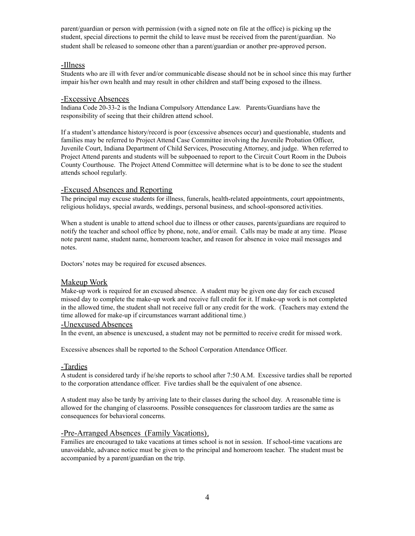parent/guardian or person with permission (with a signed note on file at the office) is picking up the student, special directions to permit the child to leave must be received from the parent/guardian. No student shall be released to someone other than a parent/guardian or another pre-approved person.

#### -Illness

Students who are ill with fever and/or communicable disease should not be in school since this may further impair his/her own health and may result in other children and staff being exposed to the illness.

#### -Excessive Absences

Indiana Code 20-33-2 is the Indiana Compulsory Attendance Law. Parents/Guardians have the responsibility of seeing that their children attend school.

If a student's attendance history/record is poor (excessive absences occur) and questionable, students and families may be referred to Project Attend Case Committee involving the Juvenile Probation Officer, Juvenile Court, Indiana Department of Child Services, Prosecuting Attorney, and judge. When referred to Project Attend parents and students will be subpoenaed to report to the Circuit Court Room in the Dubois County Courthouse. The Project Attend Committee will determine what is to be done to see the student attends school regularly.

#### -Excused Absences and Reporting

The principal may excuse students for illness, funerals, health-related appointments, court appointments, religious holidays, special awards, weddings, personal business, and school-sponsored activities.

When a student is unable to attend school due to illness or other causes, parents/guardians are required to notify the teacher and school office by phone, note, and/or email. Calls may be made at any time. Please note parent name, student name, homeroom teacher, and reason for absence in voice mail messages and notes.

Doctors' notes may be required for excused absences.

#### Makeup Work

Make-up work is required for an excused absence. A student may be given one day for each excused missed day to complete the make-up work and receive full credit for it. If make-up work is not completed in the allowed time, the student shall not receive full or any credit for the work. (Teachers may extend the time allowed for make-up if circumstances warrant additional time.)

#### -Unexcused Absences

In the event, an absence is unexcused, a student may not be permitted to receive credit for missed work.

Excessive absences shall be reported to the School Corporation Attendance Officer.

#### -Tardies

A student is considered tardy if he/she reports to school after 7:50 A.M. Excessive tardies shall be reported to the corporation attendance officer. Five tardies shall be the equivalent of one absence.

A student may also be tardy by arriving late to their classes during the school day. A reasonable time is allowed for the changing of classrooms. Possible consequences for classroom tardies are the same as consequences for behavioral concerns.

#### -Pre-Arranged Absences (Family Vacations).

Families are encouraged to take vacations at times school is not in session. If school-time vacations are unavoidable, advance notice must be given to the principal and homeroom teacher. The student must be accompanied by a parent/guardian on the trip.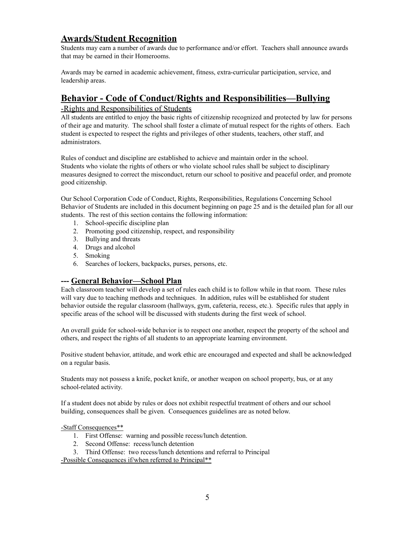### **Awards/Student Recognition**

Students may earn a number of awards due to performance and/or effort. Teachers shall announce awards that may be earned in their Homerooms.

Awards may be earned in academic achievement, fitness, extra-curricular participation, service, and leadership areas.

### **Behavior - Code of Conduct/Rights and Responsibilities—Bullying**

#### -Rights and Responsibilities of Students

All students are entitled to enjoy the basic rights of citizenship recognized and protected by law for persons of their age and maturity. The school shall foster a climate of mutual respect for the rights of others. Each student is expected to respect the rights and privileges of other students, teachers, other staff, and administrators.

Rules of conduct and discipline are established to achieve and maintain order in the school. Students who violate the rights of others or who violate school rules shall be subject to disciplinary measures designed to correct the misconduct, return our school to positive and peaceful order, and promote good citizenship.

Our School Corporation Code of Conduct, Rights, Responsibilities, Regulations Concerning School Behavior of Students are included in this document beginning on page 25 and is the detailed plan for all our students. The rest of this section contains the following information:

- 1. School-specific discipline plan
- 2. Promoting good citizenship, respect, and responsibility
- 3. Bullying and threats
- 4. Drugs and alcohol
- 5. Smoking
- 6. Searches of lockers, backpacks, purses, persons, etc.

### **--- General Behavior—School Plan**

Each classroom teacher will develop a set of rules each child is to follow while in that room. These rules will vary due to teaching methods and techniques. In addition, rules will be established for student behavior outside the regular classroom (hallways, gym, cafeteria, recess, etc.). Specific rules that apply in specific areas of the school will be discussed with students during the first week of school.

An overall guide for school-wide behavior is to respect one another, respect the property of the school and others, and respect the rights of all students to an appropriate learning environment.

Positive student behavior, attitude, and work ethic are encouraged and expected and shall be acknowledged on a regular basis.

Students may not possess a knife, pocket knife, or another weapon on school property, bus, or at any school-related activity.

If a student does not abide by rules or does not exhibit respectful treatment of others and our school building, consequences shall be given. Consequences guidelines are as noted below.

-Staff Consequences\*\*

- 1. First Offense: warning and possible recess/lunch detention.
- 2. Second Offense: recess/lunch detention
- 3. Third Offense: two recess/lunch detentions and referral to Principal

-Possible Consequences if/when referred to Principal\*\*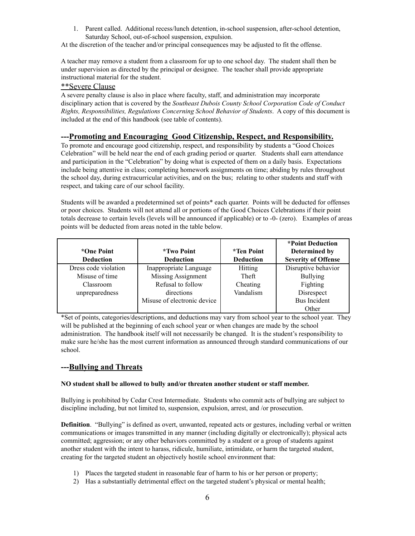1. Parent called. Additional recess/lunch detention, in-school suspension, after-school detention, Saturday School, out-of-school suspension, expulsion.

At the discretion of the teacher and/or principal consequences may be adjusted to fit the offense.

A teacher may remove a student from a classroom for up to one school day. The student shall then be under supervision as directed by the principal or designee. The teacher shall provide appropriate instructional material for the student.

#### \*\*Severe Clause

A severe penalty clause is also in place where faculty, staff, and administration may incorporate disciplinary action that is covered by the *Southeast Dubois County School Corporation Code of Conduct Rights, Responsibilities, Regulations Concerning School Behavior of Students*. A copy of this document is included at the end of this handbook (see table of contents).

#### **---Promoting and Encouraging Good Citizenship, Respect, and Responsibility.**

To promote and encourage good citizenship, respect, and responsibility by students a "Good Choices Celebration" will be held near the end of each grading period or quarter. Students shall earn attendance and participation in the "Celebration" by doing what is expected of them on a daily basis. Expectations include being attentive in class; completing homework assignments on time; abiding by rules throughout the school day, during extracurricular activities, and on the bus; relating to other students and staff with respect, and taking care of our school facility.

Students will be awarded a predetermined set of points\* each quarter. Points will be deducted for offenses or poor choices. Students will not attend all or portions of the Good Choices Celebrations if their point totals decrease to certain levels (levels will be announced if applicable) or to -0- (zero). Examples of areas points will be deducted from areas noted in the table below.

| *One Point<br><b>Deduction</b> | <i>*Two Point</i><br><b>Deduction</b> | <i>*Ten Point</i><br><b>Deduction</b> | *Point Deduction<br>Determined by<br><b>Severity of Offense</b> |
|--------------------------------|---------------------------------------|---------------------------------------|-----------------------------------------------------------------|
| Dress code violation           | Inappropriate Language                | Hitting                               | Disruptive behavior                                             |
| Misuse of time                 | Missing Assignment                    | Theft                                 | <b>Bullying</b>                                                 |
| Classroom                      | Refusal to follow                     | Cheating                              | Fighting                                                        |
| unpreparedness                 | directions                            | Vandalism                             | Disrespect                                                      |
|                                | Misuse of electronic device           |                                       | <b>Bus Incident</b>                                             |
|                                |                                       |                                       | Other                                                           |

\*Set of points, categories/descriptions, and deductions may vary from school year to the school year. They will be published at the beginning of each school year or when changes are made by the school administration. The handbook itself will not necessarily be changed. It is the student's responsibility to make sure he/she has the most current information as announced through standard communications of our school.

### **---Bullying and Threats**

#### **NO student shall be allowed to bully and/or threaten another student or staff member.**

Bullying is prohibited by Cedar Crest Intermediate. Students who commit acts of bullying are subject to discipline including, but not limited to, suspension, expulsion, arrest, and /or prosecution.

**Definition**. "Bullying" is defined as overt, unwanted, repeated acts or gestures, including verbal or written communications or images transmitted in any manner (including digitally or electronically); physical acts committed; aggression; or any other behaviors committed by a student or a group of students against another student with the intent to harass, ridicule, humiliate, intimidate, or harm the targeted student, creating for the targeted student an objectively hostile school environment that:

- 1) Places the targeted student in reasonable fear of harm to his or her person or property;
- 2) Has a substantially detrimental effect on the targeted student's physical or mental health;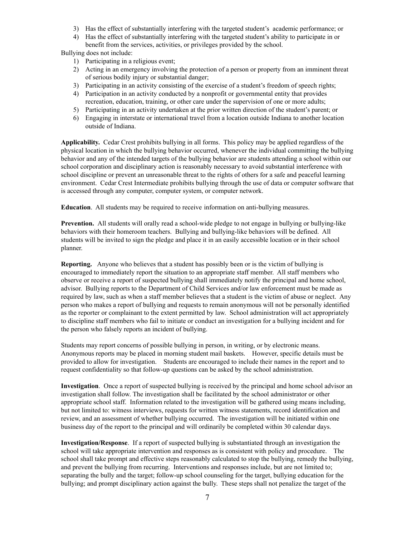- 3) Has the effect of substantially interfering with the targeted student's academic performance; or
- 4) Has the effect of substantially interfering with the targeted student's ability to participate in or benefit from the services, activities, or privileges provided by the school.

Bullying does not include:

- 1) Participating in a religious event;
- 2) Acting in an emergency involving the protection of a person or property from an imminent threat of serious bodily injury or substantial danger;
- 3) Participating in an activity consisting of the exercise of a student's freedom of speech rights;
- 4) Participation in an activity conducted by a nonprofit or governmental entity that provides recreation, education, training, or other care under the supervision of one or more adults;
- 5) Participating in an activity undertaken at the prior written direction of the student's parent; or
- 6) Engaging in interstate or international travel from a location outside Indiana to another location outside of Indiana.

**Applicability.** Cedar Crest prohibits bullying in all forms. This policy may be applied regardless of the physical location in which the bullying behavior occurred, whenever the individual committing the bullying behavior and any of the intended targets of the bullying behavior are students attending a school within our school corporation and disciplinary action is reasonably necessary to avoid substantial interference with school discipline or prevent an unreasonable threat to the rights of others for a safe and peaceful learning environment. Cedar Crest Intermediate prohibits bullying through the use of data or computer software that is accessed through any computer, computer system, or computer network.

**Education**. All students may be required to receive information on anti-bullying measures.

**Prevention.** All students will orally read a school-wide pledge to not engage in bullying or bullying-like behaviors with their homeroom teachers. Bullying and bullying-like behaviors will be defined. All students will be invited to sign the pledge and place it in an easily accessible location or in their school planner.

**Reporting.** Anyone who believes that a student has possibly been or is the victim of bullying is encouraged to immediately report the situation to an appropriate staff member. All staff members who observe or receive a report of suspected bullying shall immediately notify the principal and home school, advisor. Bullying reports to the Department of Child Services and/or law enforcement must be made as required by law, such as when a staff member believes that a student is the victim of abuse or neglect. Any person who makes a report of bullying and requests to remain anonymous will not be personally identified as the reporter or complainant to the extent permitted by law. School administration will act appropriately to discipline staff members who fail to initiate or conduct an investigation for a bullying incident and for the person who falsely reports an incident of bullying.

Students may report concerns of possible bullying in person, in writing, or by electronic means. Anonymous reports may be placed in morning student mail baskets. However, specific details must be provided to allow for investigation. Students are encouraged to include their names in the report and to request confidentiality so that follow-up questions can be asked by the school administration.

**Investigation**. Once a report of suspected bullying is received by the principal and home school advisor an investigation shall follow. The investigation shall be facilitated by the school administrator or other appropriate school staff. Information related to the investigation will be gathered using means including, but not limited to: witness interviews, requests for written witness statements, record identification and review, and an assessment of whether bullying occurred. The investigation will be initiated within one business day of the report to the principal and will ordinarily be completed within 30 calendar days.

**Investigation/Response**. If a report of suspected bullying is substantiated through an investigation the school will take appropriate intervention and responses as is consistent with policy and procedure. The school shall take prompt and effective steps reasonably calculated to stop the bullying, remedy the bullying, and prevent the bullying from recurring. Interventions and responses include, but are not limited to; separating the bully and the target; follow-up school counseling for the target, bullying education for the bullying; and prompt disciplinary action against the bully. These steps shall not penalize the target of the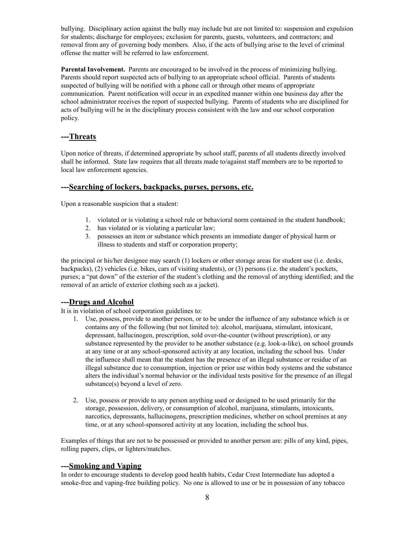bullying. Disciplinary action against the bully may include but are not limited to: suspension and expulsion for students; discharge for employees; exclusion for parents, guests, volunteers, and contractors; and removal from any of governing body members. Also, if the acts of bullying arise to the level of criminal offense the matter will be referred to law enforcement.

**Parental Involvement.** Parents are encouraged to be involved in the process of minimizing bullying. Parents should report suspected acts of bullying to an appropriate school official. Parents of students suspected of bullying will be notified with a phone call or through other means of appropriate communication. Parent notification will occur in an expedited manner within one business day after the school administrator receives the report of suspected bullying. Parents of students who are disciplined for acts of bullying will be in the disciplinary process consistent with the law and our school corporation policy.

#### **---Threats**

Upon notice of threats, if determined appropriate by school staff, parents of all students directly involved shall be informed. State law requires that all threats made to/against staff members are to be reported to local law enforcement agencies.

#### **---Searching of lockers, backpacks, purses, persons, etc.**

Upon a reasonable suspicion that a student:

- 1. violated or is violating a school rule or behavioral norm contained in the student handbook;
- 2. has violated or is violating a particular law;
- 3. possesses an item or substance which presents an immediate danger of physical harm or illness to students and staff or corporation property;

the principal or his/her designee may search (1) lockers or other storage areas for student use (i.e. desks, backpacks), (2) vehicles (i.e. bikes, cars of visiting students), or (3) persons (i.e. the student's pockets, purses; a "pat down" of the exterior of the student's clothing and the removal of anything identified; and the removal of an article of exterior clothing such as a jacket).

#### **---Drugs and Alcohol**

It is in violation of school corporation guidelines to:

- 1. Use, possess, provide to another person, or to be under the influence of any substance which is or contains any of the following (but not limited to): alcohol, marijuana, stimulant, intoxicant, depressant, hallucinogen, prescription, sold over-the-counter (without prescription), or any substance represented by the provider to be another substance (e.g. look-a-like), on school grounds at any time or at any school-sponsored activity at any location, including the school bus. Under the influence shall mean that the student has the presence of an illegal substance or residue of an illegal substance due to consumption, injection or prior use within body systems and the substance alters the individual's normal behavior or the individual tests positive for the presence of an illegal substance(s) beyond a level of zero.
- 2. Use, possess or provide to any person anything used or designed to be used primarily for the storage, possession, delivery, or consumption of alcohol, marijuana, stimulants, intoxicants, narcotics, depressants, hallucinogens, prescription medicines, whether on school premises at any time, or at any school-sponsored activity at any location, including the school bus.

Examples of things that are not to be possessed or provided to another person are: pills of any kind, pipes, rolling papers, clips, or lighters/matches.

#### **---Smoking and Vaping**

In order to encourage students to develop good health habits, Cedar Crest Intermediate has adopted a smoke-free and vaping-free building policy. No one is allowed to use or be in possession of any tobacco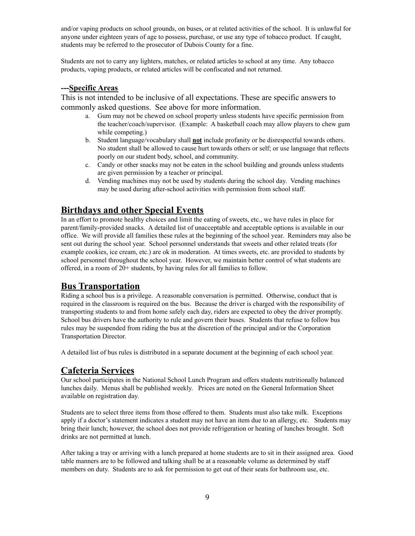and/or vaping products on school grounds, on buses, or at related activities of the school. It is unlawful for anyone under eighteen years of age to possess, purchase, or use any type of tobacco product. If caught, students may be referred to the prosecutor of Dubois County for a fine.

Students are not to carry any lighters, matches, or related articles to school at any time. Any tobacco products, vaping products, or related articles will be confiscated and not returned.

#### **---Specific Areas**

This is not intended to be inclusive of all expectations. These are specific answers to commonly asked questions. See above for more information.

- a. Gum may not be chewed on school property unless students have specific permission from the teacher/coach/supervisor. (Example: A basketball coach may allow players to chew gum while competing.)
- b. Student language/vocabulary shall **not** include profanity or be disrespectful towards others. No student shall be allowed to cause hurt towards others or self; or use language that reflects poorly on our student body, school, and community.
- c. Candy or other snacks may not be eaten in the school building and grounds unless students are given permission by a teacher or principal.
- d. Vending machines may not be used by students during the school day. Vending machines may be used during after-school activities with permission from school staff.

### **Birthdays and other Special Events**

In an effort to promote healthy choices and limit the eating of sweets, etc., we have rules in place for parent/family-provided snacks. A detailed list of unacceptable and acceptable options is available in our office. We will provide all families these rules at the beginning of the school year. Reminders may also be sent out during the school year. School personnel understands that sweets and other related treats (for example cookies, ice cream, etc.) are ok in moderation. At times sweets, etc. are provided to students by school personnel throughout the school year. However, we maintain better control of what students are offered, in a room of 20+ students, by having rules for all families to follow.

### **Bus Transportation**

Riding a school bus is a privilege. A reasonable conversation is permitted. Otherwise, conduct that is required in the classroom is required on the bus. Because the driver is charged with the responsibility of transporting students to and from home safely each day, riders are expected to obey the driver promptly. School bus drivers have the authority to rule and govern their buses. Students that refuse to follow bus rules may be suspended from riding the bus at the discretion of the principal and/or the Corporation Transportation Director.

A detailed list of bus rules is distributed in a separate document at the beginning of each school year.

### **Cafeteria Services**

Our school participates in the National School Lunch Program and offers students nutritionally balanced lunches daily. Menus shall be published weekly. Prices are noted on the General Information Sheet available on registration day.

Students are to select three items from those offered to them. Students must also take milk. Exceptions apply if a doctor's statement indicates a student may not have an item due to an allergy, etc. Students may bring their lunch; however, the school does not provide refrigeration or heating of lunches brought. Soft drinks are not permitted at lunch.

After taking a tray or arriving with a lunch prepared at home students are to sit in their assigned area. Good table manners are to be followed and talking shall be at a reasonable volume as determined by staff members on duty. Students are to ask for permission to get out of their seats for bathroom use, etc.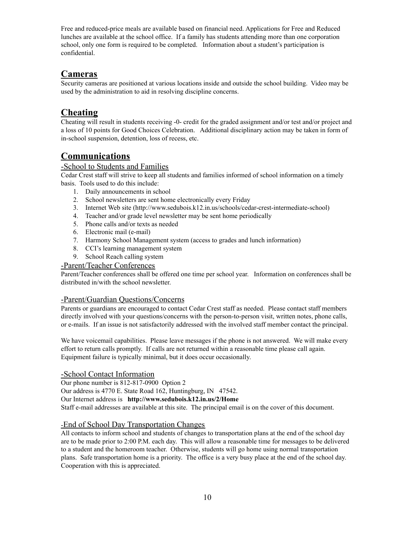Free and reduced-price meals are available based on financial need. Applications for Free and Reduced lunches are available at the school office. If a family has students attending more than one corporation school, only one form is required to be completed. Information about a student's participation is confidential.

### **Cameras**

Security cameras are positioned at various locations inside and outside the school building. Video may be used by the administration to aid in resolving discipline concerns.

### **Cheating**

Cheating will result in students receiving -0- credit for the graded assignment and/or test and/or project and a loss of 10 points for Good Choices Celebration. Additional disciplinary action may be taken in form of in-school suspension, detention, loss of recess, etc.

### **Communications**

### -School to Students and Families

Cedar Crest staff will strive to keep all students and families informed of school information on a timely basis. Tools used to do this include:

- 1. Daily announcements in school
- 2. School newsletters are sent home electronically every Friday
- 3. Internet Web site (http://www.sedubois.k12.in.us/schools/cedar-crest-intermediate-school)
- 4. Teacher and/or grade level newsletter may be sent home periodically
- 5. Phone calls and/or texts as needed
- 6. Electronic mail (e-mail)
- 7. Harmony School Management system (access to grades and lunch information)
- 8. CCI's learning management system
- 9. School Reach calling system

#### -Parent/Teacher Conferences

Parent/Teacher conferences shall be offered one time per school year. Information on conferences shall be distributed in/with the school newsletter.

### -Parent/Guardian Questions/Concerns

Parents or guardians are encouraged to contact Cedar Crest staff as needed. Please contact staff members directly involved with your questions/concerns with the person-to-person visit, written notes, phone calls, or e-mails. If an issue is not satisfactorily addressed with the involved staff member contact the principal.

We have voicemail capabilities. Please leave messages if the phone is not answered. We will make every effort to return calls promptly. If calls are not returned within a reasonable time please call again. Equipment failure is typically minimal, but it does occur occasionally.

### -School Contact Information

Our phone number is 812-817-0900 Option 2

Our address is 4770 E. State Road 162, Huntingburg, IN 47542.

Our Internet address is **http://www.sedubois.k12.in.us/2/Home**

Staff e-mail addresses are available at this site. The principal email is on the cover of this document.

### -End of School Day Transportation Changes

All contacts to inform school and students of changes to transportation plans at the end of the school day are to be made prior to 2:00 P.M. each day. This will allow a reasonable time for messages to be delivered to a student and the homeroom teacher. Otherwise, students will go home using normal transportation plans. Safe transportation home is a priority. The office is a very busy place at the end of the school day. Cooperation with this is appreciated.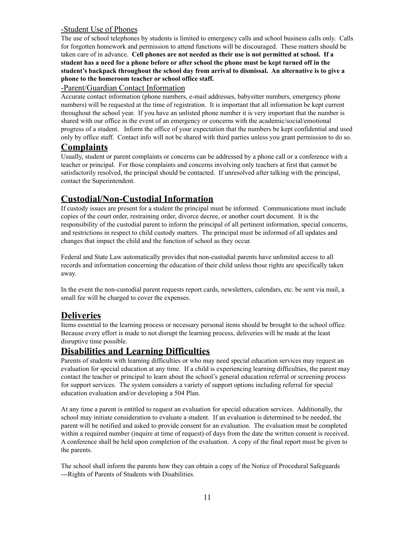### -Student Use of Phones

The use of school telephones by students is limited to emergency calls and school business calls only. Calls for forgotten homework and permission to attend functions will be discouraged. These matters should be taken care of in advance. **Cell phones are not needed as their use is not permitted at school. If a** student has a need for a phone before or after school the phone must be kept turned off in the **student's backpack throughout the school day from arrival to dismissal. An alternative is to give a phone to the homeroom teacher or school office staff.**

#### -Parent/Guardian Contact Information

Accurate contact information (phone numbers, e-mail addresses, babysitter numbers, emergency phone numbers) will be requested at the time of registration. It is important that all information be kept current throughout the school year. If you have an unlisted phone number it is very important that the number is shared with our office in the event of an emergency or concerns with the academic/social/emotional progress of a student. Inform the office of your expectation that the numbers be kept confidential and used only by office staff. Contact info will not be shared with third parties unless you grant permission to do so.

### **Complaints**

Usually, student or parent complaints or concerns can be addressed by a phone call or a conference with a teacher or principal. For those complaints and concerns involving only teachers at first that cannot be satisfactorily resolved, the principal should be contacted. If unresolved after talking with the principal, contact the Superintendent.

### **Custodial/Non-Custodial Information**

If custody issues are present for a student the principal must be informed. Communications must include copies of the court order, restraining order, divorce decree, or another court document. It is the responsibility of the custodial parent to inform the principal of all pertinent information, special concerns, and restrictions in respect to child custody matters. The principal must be informed of all updates and changes that impact the child and the function of school as they occur.

Federal and State Law automatically provides that non-custodial parents have unlimited access to all records and information concerning the education of their child unless those rights are specifically taken away.

In the event the non-custodial parent requests report cards, newsletters, calendars, etc. be sent via mail, a small fee will be charged to cover the expenses.

### **Deliveries**

Items essential to the learning process or necessary personal items should be brought to the school office. Because every effort is made to not disrupt the learning process, deliveries will be made at the least disruptive time possible.

### **Disabilities and Learning Difficulties**

Parents of students with learning difficulties or who may need special education services may request an evaluation for special education at any time. If a child is experiencing learning difficulties, the parent may contact the teacher or principal to learn about the school's general education referral or screening process for support services. The system considers a variety of support options including referral for special education evaluation and/or developing a 504 Plan.

At any time a parent is entitled to request an evaluation for special education services. Additionally, the school may initiate consideration to evaluate a student. If an evaluation is determined to be needed, the parent will be notified and asked to provide consent for an evaluation. The evaluation must be completed within a required number (inquire at time of request) of days from the date the written consent is received. A conference shall be held upon completion of the evaluation. A copy of the final report must be given to the parents.

The school shall inform the parents how they can obtain a copy of the Notice of Procedural Safeguards ---Rights of Parents of Students with Disabilities.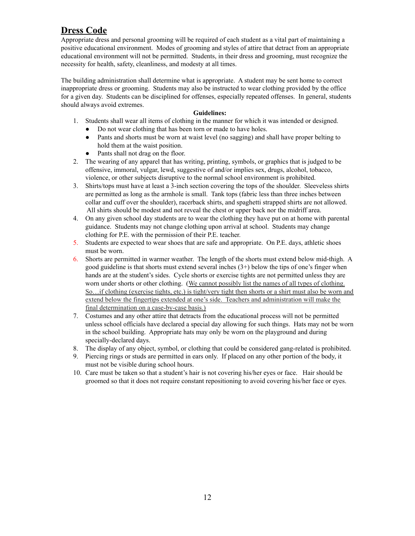### **Dress Code**

Appropriate dress and personal grooming will be required of each student as a vital part of maintaining a positive educational environment. Modes of grooming and styles of attire that detract from an appropriate educational environment will not be permitted. Students, in their dress and grooming, must recognize the necessity for health, safety, cleanliness, and modesty at all times.

The building administration shall determine what is appropriate. A student may be sent home to correct inappropriate dress or grooming. Students may also be instructed to wear clothing provided by the office for a given day. Students can be disciplined for offenses, especially repeated offenses. In general, students should always avoid extremes.

#### **Guidelines:**

- 1. Students shall wear all items of clothing in the manner for which it was intended or designed.
	- Do not wear clothing that has been torn or made to have holes. ● Pants and shorts must be worn at waist level (no sagging) and shall have proper belting to
	- hold them at the waist position.
	- Pants shall not drag on the floor.
- 2. The wearing of any apparel that has writing, printing, symbols, or graphics that is judged to be offensive, immoral, vulgar, lewd, suggestive of and/or implies sex, drugs, alcohol, tobacco, violence, or other subjects disruptive to the normal school environment is prohibited.
- 3. Shirts/tops must have at least a 3-inch section covering the tops of the shoulder. Sleeveless shirts are permitted as long as the armhole is small. Tank tops (fabric less than three inches between collar and cuff over the shoulder), racerback shirts, and spaghetti strapped shirts are not allowed. All shirts should be modest and not reveal the chest or upper back nor the midriff area.
- 4. On any given school day students are to wear the clothing they have put on at home with parental guidance. Students may not change clothing upon arrival at school. Students may change clothing for P.E. with the permission of their P.E. teacher.
- 5. Students are expected to wear shoes that are safe and appropriate. On P.E. days, athletic shoes must be worn.
- 6. Shorts are permitted in warmer weather. The length of the shorts must extend below mid-thigh. A good guideline is that shorts must extend several inches  $(3+)$  below the tips of one's finger when hands are at the student's sides. Cycle shorts or exercise tights are not permitted unless they are worn under shorts or other clothing. (We cannot possibly list the names of all types of clothing. So…if clothing (exercise tights, etc.) is tight/very tight then shorts or a shirt must also be worn and extend below the fingertips extended at one's side. Teachers and administration will make the final determination on a case-by-case basis.)
- 7. Costumes and any other attire that detracts from the educational process will not be permitted unless school officials have declared a special day allowing for such things. Hats may not be worn in the school building. Appropriate hats may only be worn on the playground and during specially-declared days.
- 8. The display of any object, symbol, or clothing that could be considered gang-related is prohibited.
- 9. Piercing rings or studs are permitted in ears only. If placed on any other portion of the body, it must not be visible during school hours.
- 10. Care must be taken so that a student's hair is not covering his/her eyes or face. Hair should be groomed so that it does not require constant repositioning to avoid covering his/her face or eyes.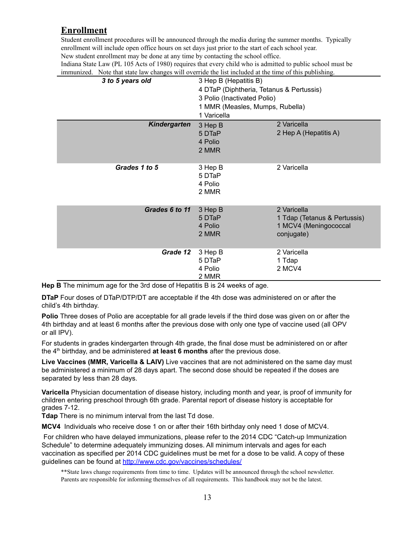### **Enrollment**

Student enrollment procedures will be announced through the media during the summer months. Typically enrollment will include open office hours on set days just prior to the start of each school year. New student enrollment may be done at any time by contacting the school office.

| immunized.<br>Note that state law changes will override the list included at the time of this publishing. |                                          |                              |
|-----------------------------------------------------------------------------------------------------------|------------------------------------------|------------------------------|
| 3 to 5 years old                                                                                          | 3 Hep B (Hepatitis B)                    |                              |
|                                                                                                           | 4 DTaP (Diphtheria, Tetanus & Pertussis) |                              |
|                                                                                                           | 3 Polio (Inactivated Polio)              |                              |
|                                                                                                           | 1 MMR (Measles, Mumps, Rubella)          |                              |
|                                                                                                           | 1 Varicella                              |                              |
| <b>Kindergarten</b>                                                                                       | 3 Hep B                                  | 2 Varicella                  |
|                                                                                                           | 5 DTaP                                   | 2 Hep A (Hepatitis A)        |
|                                                                                                           | 4 Polio                                  |                              |
|                                                                                                           | 2 MMR                                    |                              |
|                                                                                                           |                                          |                              |
| Grades 1 to 5                                                                                             | 3 Hep B                                  | 2 Varicella                  |
|                                                                                                           | 5 DTaP                                   |                              |
|                                                                                                           | 4 Polio                                  |                              |
|                                                                                                           | 2 MMR                                    |                              |
|                                                                                                           |                                          |                              |
| Grades 6 to 11                                                                                            | 3 Hep B                                  | 2 Varicella                  |
|                                                                                                           | 5 DTaP                                   | 1 Tdap (Tetanus & Pertussis) |
|                                                                                                           | 4 Polio                                  | 1 MCV4 (Meningococcal        |
|                                                                                                           | 2 MMR                                    | conjugate)                   |
|                                                                                                           |                                          |                              |
| Grade 12                                                                                                  | 3 Hep B                                  | 2 Varicella                  |
|                                                                                                           | 5 DTaP                                   | 1 Tdap                       |
|                                                                                                           | 4 Polio                                  | 2 MCV4                       |
|                                                                                                           | 2 MMR                                    |                              |

Indiana State Law (PL 105 Acts of 1980) requires that every child who is admitted to public school must be immunized. Note that state law changes will override the list included at the time of this publishing.

**Hep B** The minimum age for the 3rd dose of Hepatitis B is 24 weeks of age.

**DTaP** Four doses of DTaP/DTP/DT are acceptable if the 4th dose was administered on or after the child's 4th birthday.

**Polio** Three doses of Polio are acceptable for all grade levels if the third dose was given on or after the 4th birthday and at least 6 months after the previous dose with only one type of vaccine used (all OPV or all IPV).

For students in grades kindergarten through 4th grade, the final dose must be administered on or after the 4 th birthday, and be administered **at least 6 months** after the previous dose.

**Live Vaccines (MMR, Varicella & LAIV)** Live vaccines that are not administered on the same day must be administered a minimum of 28 days apart. The second dose should be repeated if the doses are separated by less than 28 days.

**Varicella** Physician documentation of disease history, including month and year, is proof of immunity for children entering preschool through 6th grade. Parental report of disease history is acceptable for grades 7-12.

**Tdap** There is no minimum interval from the last Td dose.

**MCV4** Individuals who receive dose 1 on or after their 16th birthday only need 1 dose of MCV4.

For children who have delayed immunizations, please refer to the 2014 CDC "Catch-up Immunization Schedule" to determine adequately immunizing doses. All minimum intervals and ages for each vaccination as specified per 2014 CDC guidelines must be met for a dose to be valid. A copy of these guidelines can be found at <http://www.cdc.gov/vaccines/schedules/>

<sup>\*\*</sup>State laws change requirements from time to time. Updates will be announced through the school newsletter. Parents are responsible for informing themselves of all requirements. This handbook may not be the latest.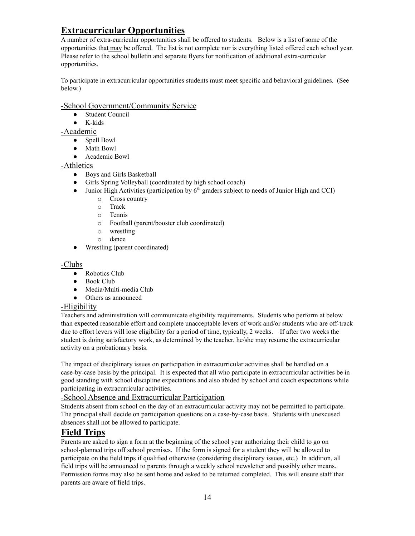### **Extracurricular Opportunities**

A number of extra-curricular opportunities shall be offered to students. Below is a list of some of the opportunities that may be offered. The list is not complete nor is everything listed offered each school year. Please refer to the school bulletin and separate flyers for notification of additional extra-curricular opportunities.

To participate in extracurricular opportunities students must meet specific and behavioral guidelines. (See below.)

### -School Government/Community Service

- Student Council
- K-kids

#### -Academic

- Spell Bowl
- Math Bowl
- Academic Bowl

### -Athletics

- Boys and Girls Basketball
- Girls Spring Volleyball (coordinated by high school coach)
- $\bullet$  Junior High Activities (participation by  $6<sup>th</sup>$  graders subject to needs of Junior High and CCI)
	- o Cross country
	- o Track
	- o Tennis
	- o Football (parent/booster club coordinated)
	- o wrestling
	- o dance
- Wrestling (parent coordinated)

#### -Clubs

- Robotics Club
- Book Club
- Media/Multi-media Club
- Others as announced

### -Eligibility

Teachers and administration will communicate eligibility requirements. Students who perform at below than expected reasonable effort and complete unacceptable levers of work and/or students who are off-track due to effort levers will lose eligibility for a period of time, typically, 2 weeks. If after two weeks the student is doing satisfactory work, as determined by the teacher, he/she may resume the extracurricular activity on a probationary basis.

The impact of disciplinary issues on participation in extracurricular activities shall be handled on a case-by-case basis by the principal. It is expected that all who participate in extracurricular activities be in good standing with school discipline expectations and also abided by school and coach expectations while participating in extracurricular activities.

### -School Absence and Extracurricular Participation

Students absent from school on the day of an extracurricular activity may not be permitted to participate. The principal shall decide on participation questions on a case-by-case basis. Students with unexcused absences shall not be allowed to participate.

### **Field Trips**

Parents are asked to sign a form at the beginning of the school year authorizing their child to go on school-planned trips off school premises. If the form is signed for a student they will be allowed to participate on the field trips if qualified otherwise (considering disciplinary issues, etc.) In addition, all field trips will be announced to parents through a weekly school newsletter and possibly other means. Permission forms may also be sent home and asked to be returned completed. This will ensure staff that parents are aware of field trips.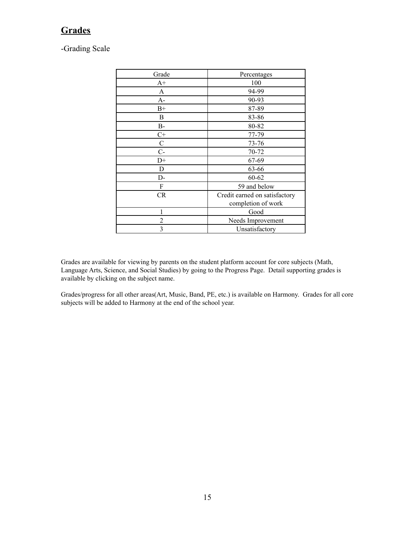### **Grades**

-Grading Scale

| Grade        | Percentages                   |
|--------------|-------------------------------|
| $A+$         | 100                           |
| A            | 94-99                         |
| А-           | 90-93                         |
| $B+$         | 87-89                         |
| B            | 83-86                         |
| $B-$         | 80-82                         |
| $C+$         | 77-79                         |
| $\mathsf{C}$ | 73-76                         |
| $C -$        | 70-72                         |
| $D+$         | 67-69                         |
| D            | 63-66                         |
| D-           | $60 - 62$                     |
| F            | 59 and below                  |
| <b>CR</b>    | Credit earned on satisfactory |
|              | completion of work            |
|              | Good                          |
| 2            | Needs Improvement             |
| 3            | Unsatisfactory                |

Grades are available for viewing by parents on the student platform account for core subjects (Math, Language Arts, Science, and Social Studies) by going to the Progress Page. Detail supporting grades is available by clicking on the subject name.

Grades/progress for all other areas(Art, Music, Band, PE, etc.) is available on Harmony. Grades for all core subjects will be added to Harmony at the end of the school year.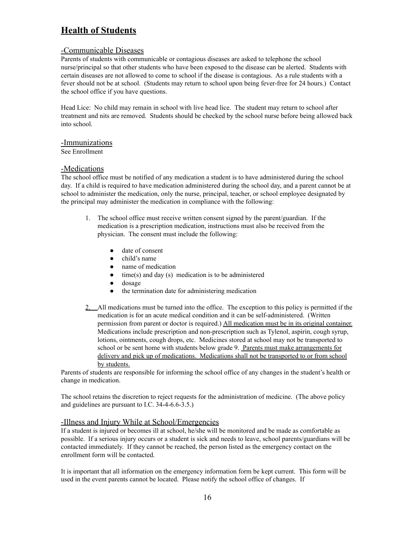### **Health of Students**

#### -Communicable Diseases

Parents of students with communicable or contagious diseases are asked to telephone the school nurse/principal so that other students who have been exposed to the disease can be alerted. Students with certain diseases are not allowed to come to school if the disease is contagious. As a rule students with a fever should not be at school. (Students may return to school upon being fever-free for 24 hours.) Contact the school office if you have questions.

Head Lice: No child may remain in school with live head lice. The student may return to school after treatment and nits are removed. Students should be checked by the school nurse before being allowed back into school.

#### -Immunizations

See Enrollment

#### -Medications

The school office must be notified of any medication a student is to have administered during the school day. If a child is required to have medication administered during the school day, and a parent cannot be at school to administer the medication, only the nurse, principal, teacher, or school employee designated by the principal may administer the medication in compliance with the following:

- 1. The school office must receive written consent signed by the parent/guardian. If the medication is a prescription medication, instructions must also be received from the physician. The consent must include the following:
	- date of consent
	- child's name
	- name of medication
	- $\bullet$  time(s) and day (s) medication is to be administered
	- dosage
	- the termination date for administering medication
- 2. All medications must be turned into the office. The exception to this policy is permitted if the medication is for an acute medical condition and it can be self-administered. (Written permission from parent or doctor is required.) All medication must be in its original container. Medications include prescription and non-prescription such as Tylenol, aspirin, cough syrup, lotions, ointments, cough drops, etc. Medicines stored at school may not be transported to school or be sent home with students below grade 9. Parents must make arrangements for delivery and pick up of medications. Medications shall not be transported to or from school by students.

Parents of students are responsible for informing the school office of any changes in the student's health or change in medication.

The school retains the discretion to reject requests for the administration of medicine. (The above policy and guidelines are pursuant to I.C. 34-4-6.6-3.5.)

#### -Illness and Injury While at School/Emergencies

If a student is injured or becomes ill at school, he/she will be monitored and be made as comfortable as possible. If a serious injury occurs or a student is sick and needs to leave, school parents/guardians will be contacted immediately. If they cannot be reached, the person listed as the emergency contact on the enrollment form will be contacted.

It is important that all information on the emergency information form be kept current. This form will be used in the event parents cannot be located. Please notify the school office of changes. If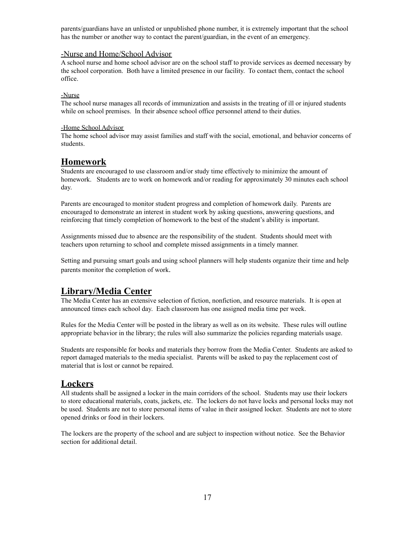parents/guardians have an unlisted or unpublished phone number, it is extremely important that the school has the number or another way to contact the parent/guardian, in the event of an emergency.

#### -Nurse and Home/School Advisor

A school nurse and home school advisor are on the school staff to provide services as deemed necessary by the school corporation. Both have a limited presence in our facility. To contact them, contact the school office.

#### -Nurse

The school nurse manages all records of immunization and assists in the treating of ill or injured students while on school premises. In their absence school office personnel attend to their duties.

#### -Home School Advisor

The home school advisor may assist families and staff with the social, emotional, and behavior concerns of students.

### **Homework**

Students are encouraged to use classroom and/or study time effectively to minimize the amount of homework. Students are to work on homework and/or reading for approximately 30 minutes each school day.

Parents are encouraged to monitor student progress and completion of homework daily. Parents are encouraged to demonstrate an interest in student work by asking questions, answering questions, and reinforcing that timely completion of homework to the best of the student's ability is important.

Assignments missed due to absence are the responsibility of the student. Students should meet with teachers upon returning to school and complete missed assignments in a timely manner.

Setting and pursuing smart goals and using school planners will help students organize their time and help parents monitor the completion of work.

### **Library/Media Center**

The Media Center has an extensive selection of fiction, nonfiction, and resource materials. It is open at announced times each school day. Each classroom has one assigned media time per week.

Rules for the Media Center will be posted in the library as well as on its website. These rules will outline appropriate behavior in the library; the rules will also summarize the policies regarding materials usage.

Students are responsible for books and materials they borrow from the Media Center. Students are asked to report damaged materials to the media specialist. Parents will be asked to pay the replacement cost of material that is lost or cannot be repaired.

### **Lockers**

All students shall be assigned a locker in the main corridors of the school. Students may use their lockers to store educational materials, coats, jackets, etc. The lockers do not have locks and personal locks may not be used. Students are not to store personal items of value in their assigned locker. Students are not to store opened drinks or food in their lockers.

The lockers are the property of the school and are subject to inspection without notice. See the Behavior section for additional detail.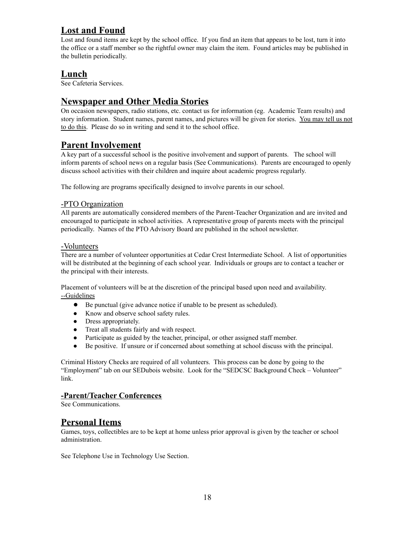### **Lost and Found**

Lost and found items are kept by the school office. If you find an item that appears to be lost, turn it into the office or a staff member so the rightful owner may claim the item. Found articles may be published in the bulletin periodically.

### **Lunch**

See Cafeteria Services.

### **Newspaper and Other Media Stories**

On occasion newspapers, radio stations, etc. contact us for information (eg. Academic Team results) and story information. Student names, parent names, and pictures will be given for stories. You may tell us not to do this. Please do so in writing and send it to the school office.

### **Parent Involvement**

A key part of a successful school is the positive involvement and support of parents. The school will inform parents of school news on a regular basis (See Communications). Parents are encouraged to openly discuss school activities with their children and inquire about academic progress regularly.

The following are programs specifically designed to involve parents in our school.

### -PTO Organization

All parents are automatically considered members of the Parent-Teacher Organization and are invited and encouraged to participate in school activities. A representative group of parents meets with the principal periodically. Names of the PTO Advisory Board are published in the school newsletter.

### -Volunteers

There are a number of volunteer opportunities at Cedar Crest Intermediate School. A list of opportunities will be distributed at the beginning of each school year. Individuals or groups are to contact a teacher or the principal with their interests.

Placement of volunteers will be at the discretion of the principal based upon need and availability. --Guidelines

- Be punctual (give advance notice if unable to be present as scheduled).
- Know and observe school safety rules.
- Dress appropriately.
- Treat all students fairly and with respect.
- Participate as guided by the teacher, principal, or other assigned staff member.
- Be positive. If unsure or if concerned about something at school discuss with the principal.

Criminal History Checks are required of all volunteers. This process can be done by going to the "Employment" tab on our SEDubois website. Look for the "SEDCSC Background Check – Volunteer" link.

### **-Parent/Teacher Conferences**

See Communications.

### **Personal Items**

Games, toys, collectibles are to be kept at home unless prior approval is given by the teacher or school administration.

See Telephone Use in Technology Use Section.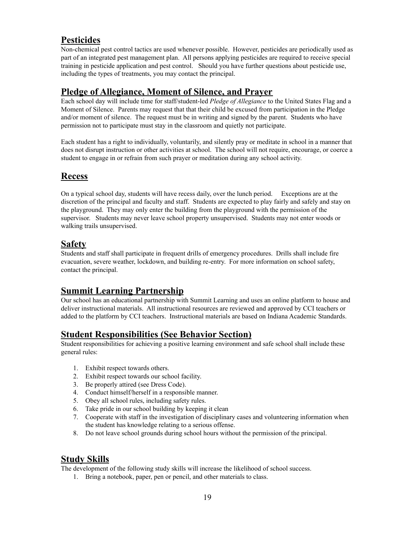### **Pesticides**

Non-chemical pest control tactics are used whenever possible. However, pesticides are periodically used as part of an integrated pest management plan. All persons applying pesticides are required to receive special training in pesticide application and pest control. Should you have further questions about pesticide use, including the types of treatments, you may contact the principal.

### **Pledge of Allegiance, Moment of Silence, and Prayer**

Each school day will include time for staff/student-led *Pledge of Allegiance* to the United States Flag and a Moment of Silence. Parents may request that that their child be excused from participation in the Pledge and/or moment of silence. The request must be in writing and signed by the parent. Students who have permission not to participate must stay in the classroom and quietly not participate.

Each student has a right to individually, voluntarily, and silently pray or meditate in school in a manner that does not disrupt instruction or other activities at school. The school will not require, encourage, or coerce a student to engage in or refrain from such prayer or meditation during any school activity.

### **Recess**

On a typical school day, students will have recess daily, over the lunch period. Exceptions are at the discretion of the principal and faculty and staff. Students are expected to play fairly and safely and stay on the playground. They may only enter the building from the playground with the permission of the supervisor. Students may never leave school property unsupervised. Students may not enter woods or walking trails unsupervised.

### **Safety**

Students and staff shall participate in frequent drills of emergency procedures. Drills shall include fire evacuation, severe weather, lockdown, and building re-entry. For more information on school safety, contact the principal.

### **Summit Learning Partnership**

Our school has an educational partnership with Summit Learning and uses an online platform to house and deliver instructional materials. All instructional resources are reviewed and approved by CCI teachers or added to the platform by CCI teachers. Instructional materials are based on Indiana Academic Standards.

### **Student Responsibilities (See Behavior Section)**

Student responsibilities for achieving a positive learning environment and safe school shall include these general rules:

- 1. Exhibit respect towards others.
- 2. Exhibit respect towards our school facility.
- 3. Be properly attired (see Dress Code).
- 4. Conduct himself/herself in a responsible manner.
- 5. Obey all school rules, including safety rules.
- 6. Take pride in our school building by keeping it clean
- 7. Cooperate with staff in the investigation of disciplinary cases and volunteering information when the student has knowledge relating to a serious offense.
- 8. Do not leave school grounds during school hours without the permission of the principal.

### **Study Skills**

The development of the following study skills will increase the likelihood of school success.

1. Bring a notebook, paper, pen or pencil, and other materials to class.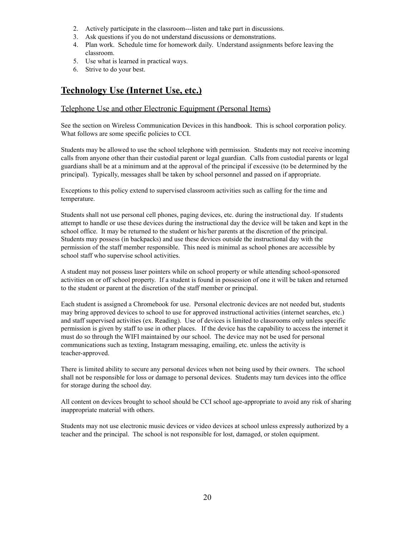- 2. Actively participate in the classroom---listen and take part in discussions.
- 3. Ask questions if you do not understand discussions or demonstrations.
- 4. Plan work. Schedule time for homework daily. Understand assignments before leaving the classroom.
- 5. Use what is learned in practical ways.
- 6. Strive to do your best.

### **Technology Use (Internet Use, etc.)**

#### Telephone Use and other Electronic Equipment (Personal Items)

See the section on Wireless Communication Devices in this handbook. This is school corporation policy. What follows are some specific policies to CCI.

Students may be allowed to use the school telephone with permission. Students may not receive incoming calls from anyone other than their custodial parent or legal guardian. Calls from custodial parents or legal guardians shall be at a minimum and at the approval of the principal if excessive (to be determined by the principal). Typically, messages shall be taken by school personnel and passed on if appropriate.

Exceptions to this policy extend to supervised classroom activities such as calling for the time and temperature.

Students shall not use personal cell phones, paging devices, etc. during the instructional day. If students attempt to handle or use these devices during the instructional day the device will be taken and kept in the school office. It may be returned to the student or his/her parents at the discretion of the principal. Students may possess (in backpacks) and use these devices outside the instructional day with the permission of the staff member responsible. This need is minimal as school phones are accessible by school staff who supervise school activities.

A student may not possess laser pointers while on school property or while attending school-sponsored activities on or off school property. If a student is found in possession of one it will be taken and returned to the student or parent at the discretion of the staff member or principal.

Each student is assigned a Chromebook for use. Personal electronic devices are not needed but, students may bring approved devices to school to use for approved instructional activities (internet searches, etc.) and staff supervised activities (ex. Reading). Use of devices is limited to classrooms only unless specific permission is given by staff to use in other places. If the device has the capability to access the internet it must do so through the WIFI maintained by our school. The device may not be used for personal communications such as texting, Instagram messaging, emailing, etc. unless the activity is teacher-approved.

There is limited ability to secure any personal devices when not being used by their owners. The school shall not be responsible for loss or damage to personal devices. Students may turn devices into the office for storage during the school day.

All content on devices brought to school should be CCI school age-appropriate to avoid any risk of sharing inappropriate material with others.

Students may not use electronic music devices or video devices at school unless expressly authorized by a teacher and the principal. The school is not responsible for lost, damaged, or stolen equipment.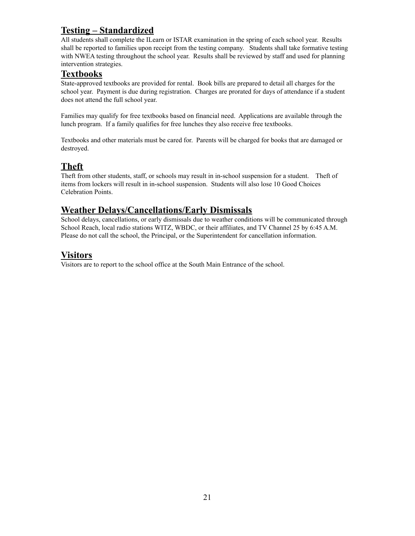### **Testing – Standardized**

All students shall complete the ILearn or ISTAR examination in the spring of each school year. Results shall be reported to families upon receipt from the testing company. Students shall take formative testing with NWEA testing throughout the school year. Results shall be reviewed by staff and used for planning intervention strategies.

### **Textbooks**

State-approved textbooks are provided for rental. Book bills are prepared to detail all charges for the school year. Payment is due during registration. Charges are prorated for days of attendance if a student does not attend the full school year.

Families may qualify for free textbooks based on financial need. Applications are available through the lunch program. If a family qualifies for free lunches they also receive free textbooks.

Textbooks and other materials must be cared for. Parents will be charged for books that are damaged or destroyed.

### **Theft**

Theft from other students, staff, or schools may result in in-school suspension for a student. Theft of items from lockers will result in in-school suspension. Students will also lose 10 Good Choices Celebration Points.

### **Weather Delays/Cancellations/Early Dismissals**

School delays, cancellations, or early dismissals due to weather conditions will be communicated through School Reach, local radio stations WITZ, WBDC, or their affiliates, and TV Channel 25 by 6:45 A.M. Please do not call the school, the Principal, or the Superintendent for cancellation information.

### **Visitors**

Visitors are to report to the school office at the South Main Entrance of the school.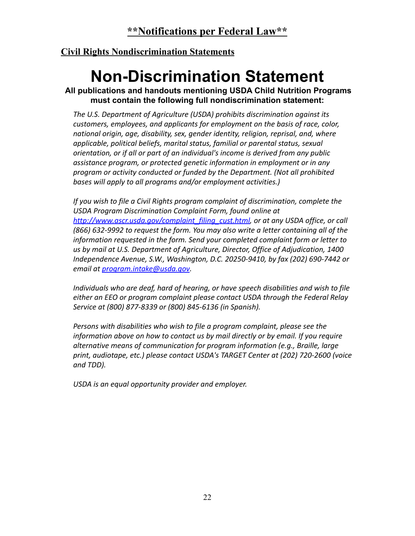### **Civil Rights Nondiscrimination Statements**

# **Non-Discrimination Statement**

**All publications and handouts mentioning USDA Child Nutrition Programs must contain the following full nondiscrimination statement:**

*The U.S. Department of Agriculture (USDA) prohibits discrimination against its customers, employees, and applicants for employment on the basis of race, color, national origin, age, disability, sex, gender identity, religion, reprisal, and, where applicable, political beliefs, marital status, familial or parental status, sexual orientation, or if all or part of an individual's income is derived from any public assistance program, or protected genetic information in employment or in any program or activity conducted or funded by the Department. (Not all prohibited bases will apply to all programs and/or employment activities.)*

*If you wish to file a Civil Rights program complaint of discrimination, complete the USDA Program Discrimination Complaint Form, found online at [http://www.ascr.usda.gov/complaint\\_filing\\_cust.html,](http://www.ascr.usda.gov/complaint_filing_cust.html) or at any USDA office, or call (866) 632-9992 to request the form. You may also write a letter containing all of the information requested in the form. Send your completed complaint form or letter to us by mail at U.S. Department of Agriculture, Director, Office of Adjudication, 1400 Independence Avenue, S.W., Washington, D.C. 20250-9410, by fax (202) 690-7442 or email at [program.intake@usda.gov](mailto:program.intake@usda.gov).*

*Individuals who are deaf, hard of hearing, or have speech disabilities and wish to file either an EEO or program complaint please contact USDA through the Federal Relay Service at (800) 877-8339 or (800) 845-6136 (in Spanish).*

*Persons with disabilities who wish to file a program complaint, please see the information above on how to contact us by mail directly or by email. If you require alternative means of communication for program information (e.g., Braille, large print, audiotape, etc.) please contact USDA's TARGET Center at (202) 720-2600 (voice and TDD).*

*USDA is an equal opportunity provider and employer.*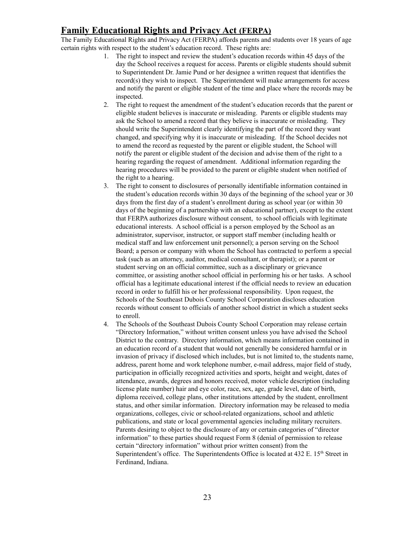### **Family Educational Rights and Privacy Act (FERPA)**

The Family Educational Rights and Privacy Act (FERPA) affords parents and students over 18 years of age certain rights with respect to the student's education record. These rights are:

- 1. The right to inspect and review the student's education records within 45 days of the day the School receives a request for access. Parents or eligible students should submit to Superintendent Dr. Jamie Pund or her designee a written request that identifies the record(s) they wish to inspect. The Superintendent will make arrangements for access and notify the parent or eligible student of the time and place where the records may be inspected.
- 2. The right to request the amendment of the student's education records that the parent or eligible student believes is inaccurate or misleading. Parents or eligible students may ask the School to amend a record that they believe is inaccurate or misleading. They should write the Superintendent clearly identifying the part of the record they want changed, and specifying why it is inaccurate or misleading. If the School decides not to amend the record as requested by the parent or eligible student, the School will notify the parent or eligible student of the decision and advise them of the right to a hearing regarding the request of amendment. Additional information regarding the hearing procedures will be provided to the parent or eligible student when notified of the right to a hearing.
- 3. The right to consent to disclosures of personally identifiable information contained in the student's education records within 30 days of the beginning of the school year or 30 days from the first day of a student's enrollment during as school year (or within 30 days of the beginning of a partnership with an educational partner), except to the extent that FERPA authorizes disclosure without consent, to school officials with legitimate educational interests. A school official is a person employed by the School as an administrator, supervisor, instructor, or support staff member (including health or medical staff and law enforcement unit personnel); a person serving on the School Board; a person or company with whom the School has contracted to perform a special task (such as an attorney, auditor, medical consultant, or therapist); or a parent or student serving on an official committee, such as a disciplinary or grievance committee, or assisting another school official in performing his or her tasks. A school official has a legitimate educational interest if the official needs to review an education record in order to fulfill his or her professional responsibility. Upon request, the Schools of the Southeast Dubois County School Corporation discloses education records without consent to officials of another school district in which a student seeks to enroll.
- 4. The Schools of the Southeast Dubois County School Corporation may release certain "Directory Information," without written consent unless you have advised the School District to the contrary. Directory information, which means information contained in an education record of a student that would not generally be considered harmful or in invasion of privacy if disclosed which includes, but is not limited to, the students name, address, parent home and work telephone number, e-mail address, major field of study, participation in officially recognized activities and sports, height and weight, dates of attendance, awards, degrees and honors received, motor vehicle description (including license plate number) hair and eye color, race, sex, age, grade level, date of birth, diploma received, college plans, other institutions attended by the student, enrollment status, and other similar information. Directory information may be released to media organizations, colleges, civic or school-related organizations, school and athletic publications, and state or local governmental agencies including military recruiters. Parents desiring to object to the disclosure of any or certain categories of "director information" to these parties should request Form 8 (denial of permission to release certain "directory information" without prior written consent) from the Superintendent's office. The Superintendents Office is located at 432 E. 15<sup>th</sup> Street in Ferdinand, Indiana.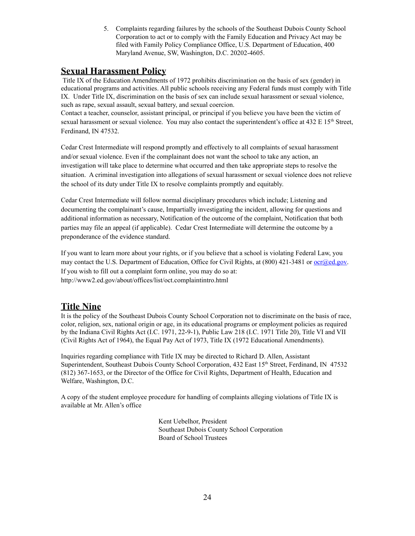5. Complaints regarding failures by the schools of the Southeast Dubois County School Corporation to act or to comply with the Family Education and Privacy Act may be filed with Family Policy Compliance Office, U.S. Department of Education, 400 Maryland Avenue, SW, Washington, D.C. 20202-4605.

### **Sexual Harassment Policy**

Title IX of the Education Amendments of 1972 prohibits discrimination on the basis of sex (gender) in educational programs and activities. All public schools receiving any Federal funds must comply with Title IX. Under Title IX, discrimination on the basis of sex can include sexual harassment or sexual violence, such as rape, sexual assault, sexual battery, and sexual coercion.

Contact a teacher, counselor, assistant principal, or principal if you believe you have been the victim of sexual harassment or sexual violence. You may also contact the superintendent's office at  $432 \text{ E } 15^{\text{th}}$  Street, Ferdinand, IN 47532.

Cedar Crest Intermediate will respond promptly and effectively to all complaints of sexual harassment and/or sexual violence. Even if the complainant does not want the school to take any action, an investigation will take place to determine what occurred and then take appropriate steps to resolve the situation. A criminal investigation into allegations of sexual harassment or sexual violence does not relieve the school of its duty under Title IX to resolve complaints promptly and equitably.

Cedar Crest Intermediate will follow normal disciplinary procedures which include; Listening and documenting the complainant's cause, Impartially investigating the incident, allowing for questions and additional information as necessary, Notification of the outcome of the complaint, Notification that both parties may file an appeal (if applicable). Cedar Crest Intermediate will determine the outcome by a preponderance of the evidence standard.

If you want to learn more about your rights, or if you believe that a school is violating Federal Law, you may contact the U.S. Department of Education, Office for Civil Rights, at (800) 421-3481 or <u>[ocr@ed.gov](mailto:ocr@ed.gov)</u>. If you wish to fill out a complaint form online, you may do so at: http://www2.ed.gov/about/offices/list/oct.complaintintro.html

### **Title Nine**

It is the policy of the Southeast Dubois County School Corporation not to discriminate on the basis of race, color, religion, sex, national origin or age, in its educational programs or employment policies as required by the Indiana Civil Rights Act (I.C. 1971, 22-9-1), Public Law 218 (I.C. 1971 Title 20), Title VI and VII (Civil Rights Act of 1964), the Equal Pay Act of 1973, Title IX (1972 Educational Amendments).

Inquiries regarding compliance with Title IX may be directed to Richard D. Allen, Assistant Superintendent, Southeast Dubois County School Corporation, 432 East 15<sup>th</sup> Street, Ferdinand, IN 47532 (812) 367-1653, or the Director of the Office for Civil Rights, Department of Health, Education and Welfare, Washington, D.C.

A copy of the student employee procedure for handling of complaints alleging violations of Title IX is available at Mr. Allen's office

> Kent Uebelhor, President Southeast Dubois County School Corporation Board of School Trustees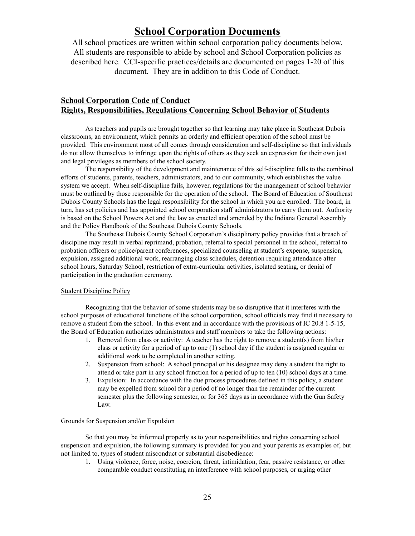### **School Corporation Documents**

All school practices are written within school corporation policy documents below. All students are responsible to abide by school and School Corporation policies as described here. CCI-specific practices/details are documented on pages 1-20 of this document. They are in addition to this Code of Conduct.

### **School Corporation Code of Conduct Rights, Responsibilities, Regulations Concerning School Behavior of Students**

As teachers and pupils are brought together so that learning may take place in Southeast Dubois classrooms, an environment, which permits an orderly and efficient operation of the school must be provided. This environment most of all comes through consideration and self-discipline so that individuals do not allow themselves to infringe upon the rights of others as they seek an expression for their own just and legal privileges as members of the school society.

The responsibility of the development and maintenance of this self-discipline falls to the combined efforts of students, parents, teachers, administrators, and to our community, which establishes the value system we accept. When self-discipline fails, however, regulations for the management of school behavior must be outlined by those responsible for the operation of the school. The Board of Education of Southeast Dubois County Schools has the legal responsibility for the school in which you are enrolled. The board, in turn, has set policies and has appointed school corporation staff administrators to carry them out. Authority is based on the School Powers Act and the law as enacted and amended by the Indiana General Assembly and the Policy Handbook of the Southeast Dubois County Schools.

The Southeast Dubois County School Corporation's disciplinary policy provides that a breach of discipline may result in verbal reprimand, probation, referral to special personnel in the school, referral to probation officers or police/parent conferences, specialized counseling at student's expense, suspension, expulsion, assigned additional work, rearranging class schedules, detention requiring attendance after school hours, Saturday School, restriction of extra-curricular activities, isolated seating, or denial of participation in the graduation ceremony.

#### Student Discipline Policy

Recognizing that the behavior of some students may be so disruptive that it interferes with the school purposes of educational functions of the school corporation, school officials may find it necessary to remove a student from the school. In this event and in accordance with the provisions of IC 20.8 1-5-15, the Board of Education authorizes administrators and staff members to take the following actions:

- 1. Removal from class or activity: A teacher has the right to remove a student(s) from his/her class or activity for a period of up to one (1) school day if the student is assigned regular or additional work to be completed in another setting.
- 2. Suspension from school: A school principal or his designee may deny a student the right to attend or take part in any school function for a period of up to ten (10) school days at a time.
- 3. Expulsion: In accordance with the due process procedures defined in this policy, a student may be expelled from school for a period of no longer than the remainder of the current semester plus the following semester, or for 365 days as in accordance with the Gun Safety Law.

#### Grounds for Suspension and/or Expulsion

So that you may be informed properly as to your responsibilities and rights concerning school suspension and expulsion, the following summary is provided for you and your parents as examples of, but not limited to, types of student misconduct or substantial disobedience:

1. Using violence, force, noise, coercion, threat, intimidation, fear, passive resistance, or other comparable conduct constituting an interference with school purposes, or urging other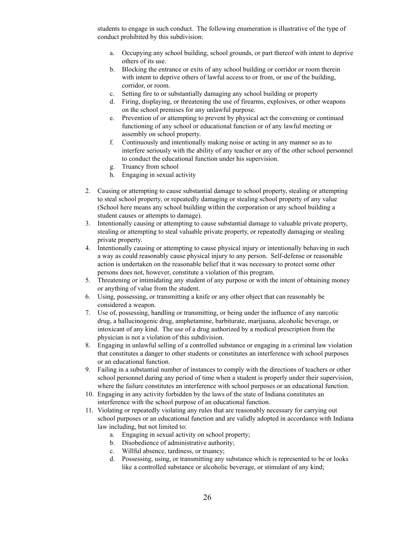students to engage in such conduct. The following enumeration is illustrative of the type of conduct prohibited by this subdivision:

- a. Occupying any school building, school grounds, or part thereof with intent to deprive others of its use.
- b. Blocking the entrance or exits of any school building or corridor or room therein with intent to deprive others of lawful access to or from, or use of the building, corridor, or room.
- c. Setting fire to or substantially damaging any school building or property
- d. Firing, displaying, or threatening the use of firearms, explosives, or other weapons on the school premises for any unlawful purpose.
- e. Prevention of or attempting to prevent by physical act the convening or continued functioning of any school or educational function or of any lawful meeting or assembly on school property.
- f. Continuously and intentionally making noise or acting in any manner so as to interfere seriously with the ability of any teacher or any of the other school personnel to conduct the educational function under his supervision.
- g. Truancy from school
- h. Engaging in sexual activity
- 2. Causing or attempting to cause substantial damage to school property, stealing or attempting to steal school property, or repeatedly damaging or stealing school property of any value (School here means any school building within the corporation or any school building a student causes or attempts to damage).
- 3. Intentionally causing or attempting to cause substantial damage to valuable private property, stealing or attempting to steal valuable private property, or repeatedly damaging or stealing private property.
- 4. Intentionally causing or attempting to cause physical injury or intentionally behaving in such a way as could reasonably cause physical injury to any person. Self-defense or reasonable action is undertaken on the reasonable belief that it was necessary to protect some other persons does not, however, constitute a violation of this program.
- 5. Threatening or intimidating any student of any purpose or with the intent of obtaining money or anything of value from the student.
- 6. Using, possessing, or transmitting a knife or any other object that can reasonably be considered a weapon.
- 7. Use of, possessing, handling or transmitting, or being under the influence of any narcotic drug, a hallucinogenic drug, amphetamine, barbiturate, marijuana, alcoholic beverage, or intoxicant of any kind. The use of a drug authorized by a medical prescription from the physician is not a violation of this subdivision.
- 8. Engaging in unlawful selling of a controlled substance or engaging in a criminal law violation that constitutes a danger to other students or constitutes an interference with school purposes or an educational function.
- 9. Failing in a substantial number of instances to comply with the directions of teachers or other school personnel during any period of time when a student is properly under their supervision, where the failure constitutes an interference with school purposes or an educational function.
- 10. Engaging in any activity forbidden by the laws of the state of Indiana constitutes an interference with the school purpose of an educational function.
- 11. Violating or repeatedly violating any rules that are reasonably necessary for carrying out school purposes or an educational function and are validly adopted in accordance with Indiana law including, but not limited to:
	- a. Engaging in sexual activity on school property;
	- b. Disobedience of administrative authority;
	- c. Willful absence, tardiness, or truancy;
	- d. Possessing, using, or transmitting any substance which is represented to be or looks like a controlled substance or alcoholic beverage, or stimulant of any kind;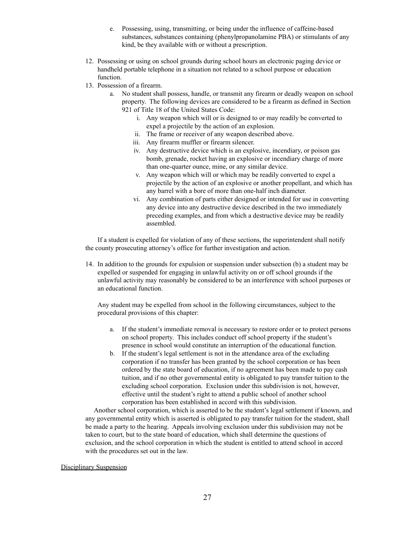- e. Possessing, using, transmitting, or being under the influence of caffeine-based substances, substances containing (phenylpropanolamine PBA) or stimulants of any kind, be they available with or without a prescription.
- 12. Possessing or using on school grounds during school hours an electronic paging device or handheld portable telephone in a situation not related to a school purpose or education function.
- 13. Possession of a firearm.
	- a. No student shall possess, handle, or transmit any firearm or deadly weapon on school property. The following devices are considered to be a firearm as defined in Section 921 of Title 18 of the United States Code:
		- i. Any weapon which will or is designed to or may readily be converted to expel a projectile by the action of an explosion.
		- ii. The frame or receiver of any weapon described above.
		- iii. Any firearm muffler or firearm silencer.
		- iv. Any destructive device which is an explosive, incendiary, or poison gas bomb, grenade, rocket having an explosive or incendiary charge of more than one-quarter ounce, mine, or any similar device.
		- v. Any weapon which will or which may be readily converted to expel a projectile by the action of an explosive or another propellant, and which has any barrel with a bore of more than one-half inch diameter.
		- vi. Any combination of parts either designed or intended for use in converting any device into any destructive device described in the two immediately preceding examples, and from which a destructive device may be readily assembled.

If a student is expelled for violation of any of these sections, the superintendent shall notify the county prosecuting attorney's office for further investigation and action.

14. In addition to the grounds for expulsion or suspension under subsection (b) a student may be expelled or suspended for engaging in unlawful activity on or off school grounds if the unlawful activity may reasonably be considered to be an interference with school purposes or an educational function.

Any student may be expelled from school in the following circumstances, subject to the procedural provisions of this chapter:

- a. If the student's immediate removal is necessary to restore order or to protect persons on school property. This includes conduct off school property if the student's presence in school would constitute an interruption of the educational function.
- b. If the student's legal settlement is not in the attendance area of the excluding corporation if no transfer has been granted by the school corporation or has been ordered by the state board of education, if no agreement has been made to pay cash tuition, and if no other governmental entity is obligated to pay transfer tuition to the excluding school corporation. Exclusion under this subdivision is not, however, effective until the student's right to attend a public school of another school corporation has been established in accord with this subdivision.

Another school corporation, which is asserted to be the student's legal settlement if known, and any governmental entity which is asserted is obligated to pay transfer tuition for the student, shall be made a party to the hearing. Appeals involving exclusion under this subdivision may not be taken to court, but to the state board of education, which shall determine the questions of exclusion, and the school corporation in which the student is entitled to attend school in accord with the procedures set out in the law.

#### Disciplinary Suspension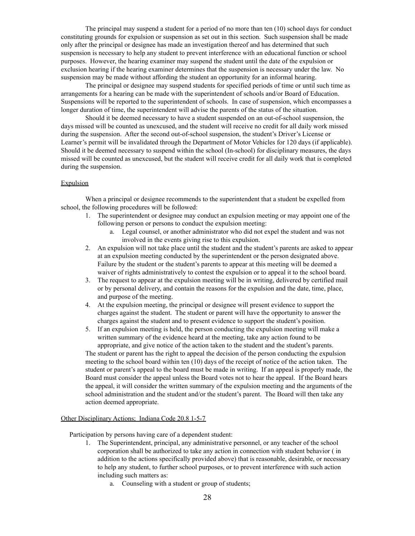The principal may suspend a student for a period of no more than ten (10) school days for conduct constituting grounds for expulsion or suspension as set out in this section. Such suspension shall be made only after the principal or designee has made an investigation thereof and has determined that such suspension is necessary to help any student to prevent interference with an educational function or school purposes. However, the hearing examiner may suspend the student until the date of the expulsion or exclusion hearing if the hearing examiner determines that the suspension is necessary under the law. No suspension may be made without affording the student an opportunity for an informal hearing.

The principal or designee may suspend students for specified periods of time or until such time as arrangements for a hearing can be made with the superintendent of schools and/or Board of Education. Suspensions will be reported to the superintendent of schools. In case of suspension, which encompasses a longer duration of time, the superintendent will advise the parents of the status of the situation.

Should it be deemed necessary to have a student suspended on an out-of-school suspension, the days missed will be counted as unexcused, and the student will receive no credit for all daily work missed during the suspension. After the second out-of-school suspension, the student's Driver's License or Learner's permit will be invalidated through the Department of Motor Vehicles for 120 days (if applicable). Should it be deemed necessary to suspend within the school (In-school) for disciplinary measures, the days missed will be counted as unexcused, but the student will receive credit for all daily work that is completed during the suspension.

#### Expulsion

When a principal or designee recommends to the superintendent that a student be expelled from school, the following procedures will be followed:

- 1. The superintendent or designee may conduct an expulsion meeting or may appoint one of the following person or persons to conduct the expulsion meeting:
	- a. Legal counsel, or another administrator who did not expel the student and was not involved in the events giving rise to this expulsion.
- 2. An expulsion will not take place until the student and the student's parents are asked to appear at an expulsion meeting conducted by the superintendent or the person designated above. Failure by the student or the student's parents to appear at this meeting will be deemed a waiver of rights administratively to contest the expulsion or to appeal it to the school board.
- 3. The request to appear at the expulsion meeting will be in writing, delivered by certified mail or by personal delivery, and contain the reasons for the expulsion and the date, time, place, and purpose of the meeting.
- 4. At the expulsion meeting, the principal or designee will present evidence to support the charges against the student. The student or parent will have the opportunity to answer the charges against the student and to present evidence to support the student's position.
- 5. If an expulsion meeting is held, the person conducting the expulsion meeting will make a written summary of the evidence heard at the meeting, take any action found to be appropriate, and give notice of the action taken to the student and the student's parents.

The student or parent has the right to appeal the decision of the person conducting the expulsion meeting to the school board within ten (10) days of the receipt of notice of the action taken. The student or parent's appeal to the board must be made in writing. If an appeal is properly made, the Board must consider the appeal unless the Board votes not to hear the appeal. If the Board hears the appeal, it will consider the written summary of the expulsion meeting and the arguments of the school administration and the student and/or the student's parent. The Board will then take any action deemed appropriate.

#### Other Disciplinary Actions; Indiana Code 20.8 1-5-7

Participation by persons having care of a dependent student:

- 1. The Superintendent, principal, any administrative personnel, or any teacher of the school corporation shall be authorized to take any action in connection with student behavior ( in addition to the actions specifically provided above) that is reasonable, desirable, or necessary to help any student, to further school purposes, or to prevent interference with such action including such matters as:
	- a. Counseling with a student or group of students;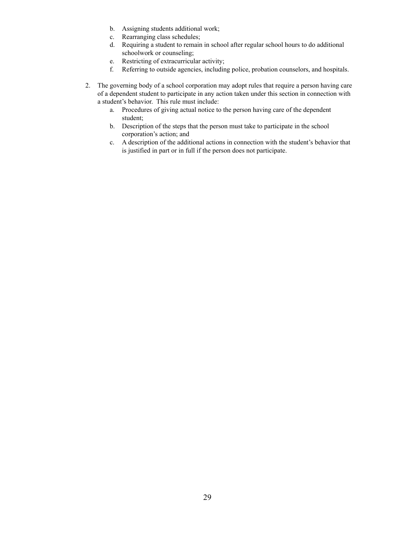- b. Assigning students additional work;
- c. Rearranging class schedules;
- d. Requiring a student to remain in school after regular school hours to do additional schoolwork or counseling;
- e. Restricting of extracurricular activity;
- f. Referring to outside agencies, including police, probation counselors, and hospitals.
- 2. The governing body of a school corporation may adopt rules that require a person having care of a dependent student to participate in any action taken under this section in connection with a student's behavior. This rule must include:
	- a. Procedures of giving actual notice to the person having care of the dependent student;
	- b. Description of the steps that the person must take to participate in the school corporation's action; and
	- c. A description of the additional actions in connection with the student's behavior that is justified in part or in full if the person does not participate.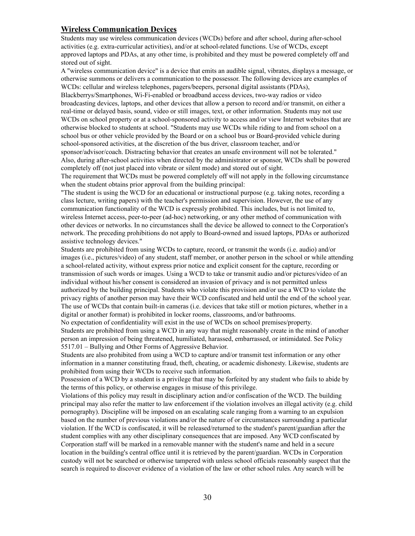#### **Wireless Communication Devices**

Students may use wireless communication devices (WCDs) before and after school, during after-school activities (e.g. extra-curricular activities), and/or at school-related functions. Use of WCDs, except approved laptops and PDAs, at any other time, is prohibited and they must be powered completely off and stored out of sight.

A "wireless communication device" is a device that emits an audible signal, vibrates, displays a message, or otherwise summons or delivers a communication to the possessor. The following devices are examples of WCDs: cellular and wireless telephones, pagers/beepers, personal digital assistants (PDAs), Blackberrys/Smartphones, Wi-Fi-enabled or broadband access devices, two-way radios or video broadcasting devices, laptops, and other devices that allow a person to record and/or transmit, on either a real-time or delayed basis, sound, video or still images, text, or other information. Students may not use WCDs on school property or at a school-sponsored activity to access and/or view Internet websites that are otherwise blocked to students at school. "Students may use WCDs while riding to and from school on a school bus or other vehicle provided by the Board or on a school bus or Board-provided vehicle during school-sponsored activities, at the discretion of the bus driver, classroom teacher, and/or

sponsor/advisor/coach. Distracting behavior that creates an unsafe environment will not be tolerated." Also, during after-school activities when directed by the administrator or sponsor, WCDs shall be powered completely off (not just placed into vibrate or silent mode) and stored out of sight.

The requirement that WCDs must be powered completely off will not apply in the following circumstance when the student obtains prior approval from the building principal:

"The student is using the WCD for an educational or instructional purpose (e.g. taking notes, recording a class lecture, writing papers) with the teacher's permission and supervision. However, the use of any communication functionality of the WCD is expressly prohibited. This includes, but is not limited to, wireless Internet access, peer-to-peer (ad-hoc) networking, or any other method of communication with other devices or networks. In no circumstances shall the device be allowed to connect to the Corporation's network. The preceding prohibitions do not apply to Board-owned and issued laptops, PDAs or authorized assistive technology devices."

Students are prohibited from using WCDs to capture, record, or transmit the words (i.e. audio) and/or images (i.e., pictures/video) of any student, staff member, or another person in the school or while attending a school-related activity, without express prior notice and explicit consent for the capture, recording or transmission of such words or images. Using a WCD to take or transmit audio and/or pictures/video of an individual without his/her consent is considered an invasion of privacy and is not permitted unless authorized by the building principal. Students who violate this provision and/or use a WCD to violate the privacy rights of another person may have their WCD confiscated and held until the end of the school year. The use of WCDs that contain built-in cameras (i.e. devices that take still or motion pictures, whether in a digital or another format) is prohibited in locker rooms, classrooms, and/or bathrooms.

No expectation of confidentiality will exist in the use of WCDs on school premises/property. Students are prohibited from using a WCD in any way that might reasonably create in the mind of another person an impression of being threatened, humiliated, harassed, embarrassed, or intimidated. See Policy 5517.01 – Bullying and Other Forms of Aggressive Behavior.

Students are also prohibited from using a WCD to capture and/or transmit test information or any other information in a manner constituting fraud, theft, cheating, or academic dishonesty. Likewise, students are prohibited from using their WCDs to receive such information.

Possession of a WCD by a student is a privilege that may be forfeited by any student who fails to abide by the terms of this policy, or otherwise engages in misuse of this privilege.

Violations of this policy may result in disciplinary action and/or confiscation of the WCD. The building principal may also refer the matter to law enforcement if the violation involves an illegal activity (e.g. child pornography). Discipline will be imposed on an escalating scale ranging from a warning to an expulsion based on the number of previous violations and/or the nature of or circumstances surrounding a particular violation. If the WCD is confiscated, it will be released/returned to the student's parent/guardian after the student complies with any other disciplinary consequences that are imposed. Any WCD confiscated by Corporation staff will be marked in a removable manner with the student's name and held in a secure location in the building's central office until it is retrieved by the parent/guardian. WCDs in Corporation custody will not be searched or otherwise tampered with unless school officials reasonably suspect that the search is required to discover evidence of a violation of the law or other school rules. Any search will be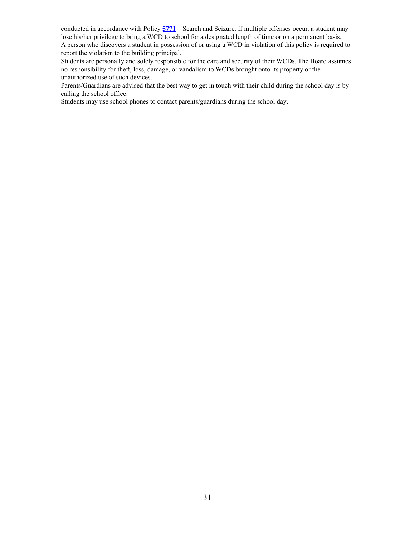conducted in accordance with Policy **[5771](http://www.neola.com/southeastdubois-in/search/policies/po5771.htm)** – Search and Seizure. If multiple offenses occur, a student may lose his/her privilege to bring a WCD to school for a designated length of time or on a permanent basis. A person who discovers a student in possession of or using a WCD in violation of this policy is required to report the violation to the building principal.

Students are personally and solely responsible for the care and security of their WCDs. The Board assumes no responsibility for theft, loss, damage, or vandalism to WCDs brought onto its property or the unauthorized use of such devices.

Parents/Guardians are advised that the best way to get in touch with their child during the school day is by calling the school office.

Students may use school phones to contact parents/guardians during the school day.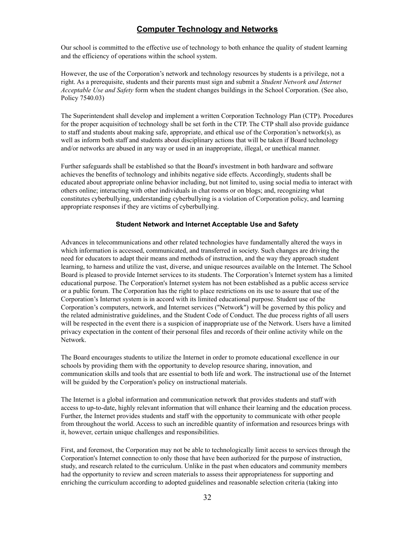### **Computer Technology and Networks**

Our school is committed to the effective use of technology to both enhance the quality of student learning and the efficiency of operations within the school system.

However, the use of the Corporation's network and technology resources by students is a privilege, not a right. As a prerequisite, students and their parents must sign and submit a *Student Network and Internet Acceptable Use and Safety* form when the student changes buildings in the School Corporation. (See also, Policy 7540.03)

The Superintendent shall develop and implement a written Corporation Technology Plan (CTP). Procedures for the proper acquisition of technology shall be set forth in the CTP. The CTP shall also provide guidance to staff and students about making safe, appropriate, and ethical use of the Corporation's network(s), as well as inform both staff and students about disciplinary actions that will be taken if Board technology and/or networks are abused in any way or used in an inappropriate, illegal, or unethical manner.

Further safeguards shall be established so that the Board's investment in both hardware and software achieves the benefits of technology and inhibits negative side effects. Accordingly, students shall be educated about appropriate online behavior including, but not limited to, using social media to interact with others online; interacting with other individuals in chat rooms or on blogs; and, recognizing what constitutes cyberbullying, understanding cyberbullying is a violation of Corporation policy, and learning appropriate responses if they are victims of cyberbullying.

#### **Student Network and Internet Acceptable Use and Safety**

Advances in telecommunications and other related technologies have fundamentally altered the ways in which information is accessed, communicated, and transferred in society. Such changes are driving the need for educators to adapt their means and methods of instruction, and the way they approach student learning, to harness and utilize the vast, diverse, and unique resources available on the Internet. The School Board is pleased to provide Internet services to its students. The Corporation's Internet system has a limited educational purpose. The Corporation's Internet system has not been established as a public access service or a public forum. The Corporation has the right to place restrictions on its use to assure that use of the Corporation's Internet system is in accord with its limited educational purpose. Student use of the Corporation's computers, network, and Internet services ("Network") will be governed by this policy and the related administrative guidelines, and the Student Code of Conduct. The due process rights of all users will be respected in the event there is a suspicion of inappropriate use of the Network. Users have a limited privacy expectation in the content of their personal files and records of their online activity while on the Network.

The Board encourages students to utilize the Internet in order to promote educational excellence in our schools by providing them with the opportunity to develop resource sharing, innovation, and communication skills and tools that are essential to both life and work. The instructional use of the Internet will be guided by the Corporation's policy on instructional materials.

The Internet is a global information and communication network that provides students and staff with access to up-to-date, highly relevant information that will enhance their learning and the education process. Further, the Internet provides students and staff with the opportunity to communicate with other people from throughout the world. Access to such an incredible quantity of information and resources brings with it, however, certain unique challenges and responsibilities.

First, and foremost, the Corporation may not be able to technologically limit access to services through the Corporation's Internet connection to only those that have been authorized for the purpose of instruction, study, and research related to the curriculum. Unlike in the past when educators and community members had the opportunity to review and screen materials to assess their appropriateness for supporting and enriching the curriculum according to adopted guidelines and reasonable selection criteria (taking into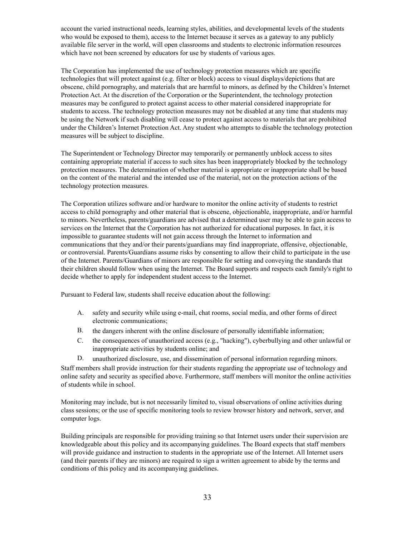account the varied instructional needs, learning styles, abilities, and developmental levels of the students who would be exposed to them), access to the Internet because it serves as a gateway to any publicly available file server in the world, will open classrooms and students to electronic information resources which have not been screened by educators for use by students of various ages.

The Corporation has implemented the use of technology protection measures which are specific technologies that will protect against (e.g. filter or block) access to visual displays/depictions that are obscene, child pornography, and materials that are harmful to minors, as defined by the Children's Internet Protection Act. At the discretion of the Corporation or the Superintendent, the technology protection measures may be configured to protect against access to other material considered inappropriate for students to access. The technology protection measures may not be disabled at any time that students may be using the Network if such disabling will cease to protect against access to materials that are prohibited under the Children's Internet Protection Act. Any student who attempts to disable the technology protection measures will be subject to discipline.

The Superintendent or Technology Director may temporarily or permanently unblock access to sites containing appropriate material if access to such sites has been inappropriately blocked by the technology protection measures. The determination of whether material is appropriate or inappropriate shall be based on the content of the material and the intended use of the material, not on the protection actions of the technology protection measures.

The Corporation utilizes software and/or hardware to monitor the online activity of students to restrict access to child pornography and other material that is obscene, objectionable, inappropriate, and/or harmful to minors. Nevertheless, parents/guardians are advised that a determined user may be able to gain access to services on the Internet that the Corporation has not authorized for educational purposes. In fact, it is impossible to guarantee students will not gain access through the Internet to information and communications that they and/or their parents/guardians may find inappropriate, offensive, objectionable, or controversial. Parents/Guardians assume risks by consenting to allow their child to participate in the use of the Internet. Parents/Guardians of minors are responsible for setting and conveying the standards that their children should follow when using the Internet. The Board supports and respects each family's right to decide whether to apply for independent student access to the Internet.

Pursuant to Federal law, students shall receive education about the following:

- A. safety and security while using e-mail, chat rooms, social media, and other forms of direct electronic communications;
- B. the dangers inherent with the online disclosure of personally identifiable information;
- C. the consequences of unauthorized access (e.g., "hacking"), cyberbullying and other unlawful or inappropriate activities by students online; and
- D. unauthorized disclosure, use, and dissemination of personal information regarding minors.

Staff members shall provide instruction for their students regarding the appropriate use of technology and online safety and security as specified above. Furthermore, staff members will monitor the online activities of students while in school.

Monitoring may include, but is not necessarily limited to, visual observations of online activities during class sessions; or the use of specific monitoring tools to review browser history and network, server, and computer logs.

Building principals are responsible for providing training so that Internet users under their supervision are knowledgeable about this policy and its accompanying guidelines. The Board expects that staff members will provide guidance and instruction to students in the appropriate use of the Internet. All Internet users (and their parents if they are minors) are required to sign a written agreement to abide by the terms and conditions of this policy and its accompanying guidelines.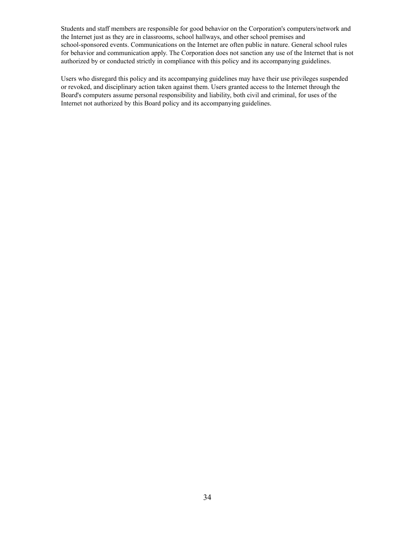Students and staff members are responsible for good behavior on the Corporation's computers/network and the Internet just as they are in classrooms, school hallways, and other school premises and school-sponsored events. Communications on the Internet are often public in nature. General school rules for behavior and communication apply. The Corporation does not sanction any use of the Internet that is not authorized by or conducted strictly in compliance with this policy and its accompanying guidelines.

Users who disregard this policy and its accompanying guidelines may have their use privileges suspended or revoked, and disciplinary action taken against them. Users granted access to the Internet through the Board's computers assume personal responsibility and liability, both civil and criminal, for uses of the Internet not authorized by this Board policy and its accompanying guidelines.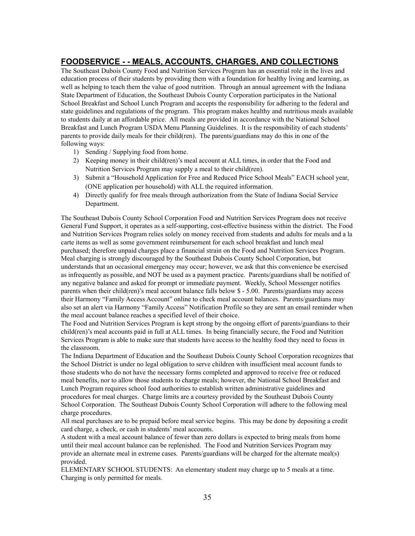### **FOODSERVICE - - MEALS, ACCOUNTS, CHARGES, AND COLLECTIONS**

The Southeast Dubois County Food and Nutrition Services Program has an essential role in the lives and education process of their students by providing them with a foundation for healthy living and learning, as well as helping to teach them the value of good nutrition. Through an annual agreement with the Indiana State Department of Education, the Southeast Dubois County Corporation participates in the National School Breakfast and School Lunch Program and accepts the responsibility for adhering to the federal and state guidelines and regulations of the program. This program makes healthy and nutritious meals available to students daily at an affordable price. All meals are provided in accordance with the National School Breakfast and Lunch Program USDA Menu Planning Guidelines. It is the responsibility of each students' parents to provide daily meals for their child(ren). The parents/guardians may do this in one of the following ways:

- 1) Sending / Supplying food from home.
- 2) Keeping money in their child(ren)'s meal account at ALL times, in order that the Food and Nutrition Services Program may supply a meal to their child(ren).
- 3) Submit a "Household Application for Free and Reduced Price School Meals" EACH school year, (ONE application per household) with ALL the required information.
- 4) Directly qualify for free meals through authorization from the State of Indiana Social Service Department.

The Southeast Dubois County School Corporation Food and Nutrition Services Program does not receive General Fund Support, it operates as a self-supporting, cost-effective business within the district. The Food and Nutrition Services Program relies solely on money received from students and adults for meals and a la carte items as well as some government reimbursement for each school breakfast and lunch meal purchased; therefore unpaid charges place a financial strain on the Food and Nutrition Services Program. Meal charging is strongly discouraged by the Southeast Dubois County School Corporation, but understands that an occasional emergency may occur; however, we ask that this convenience be exercised as infrequently as possible, and NOT be used as a payment practice. Parents/guardians shall be notified of any negative balance and asked for prompt or immediate payment. Weekly, School Messenger notifies parents when their child(ren)'s meal account balance falls below \$ - 5.00. Parents/guardians may access their Harmony "Family Access Account" online to check meal account balances. Parents/guardians may also set an alert via Harmony "Family Access" Notification Profile so they are sent an email reminder when the meal account balance reaches a specified level of their choice.

The Food and Nutrition Services Program is kept strong by the ongoing effort of parents/guardians to their child(ren)'s meal accounts paid in full at ALL times. In being financially secure, the Food and Nutrition Services Program is able to make sure that students have access to the healthy food they need to focus in the classroom.

The Indiana Department of Education and the Southeast Dubois County School Corporation recognizes that the School District is under no legal obligation to serve children with insufficient meal account funds to those students who do not have the necessary forms completed and approved to receive free or reduced meal benefits, nor to allow those students to charge meals; however, the National School Breakfast and Lunch Program requires school food authorities to establish written administrative guidelines and procedures for meal charges. Charge limits are a courtesy provided by the Southeast Dubois County School Corporation. The Southeast Dubois County School Corporation will adhere to the following meal charge procedures.

All meal purchases are to be prepaid before meal service begins. This may be done by depositing a credit card charge, a check, or cash in students' meal accounts.

A student with a meal account balance of fewer than zero dollars is expected to bring meals from home until their meal account balance can be replenished. The Food and Nutrition Services Program may provide an alternate meal in extreme cases. Parents/guardians will be charged for the alternate meal(s) provided.

ELEMENTARY SCHOOL STUDENTS: An elementary student may charge up to 5 meals at a time. Charging is only permitted for meals.